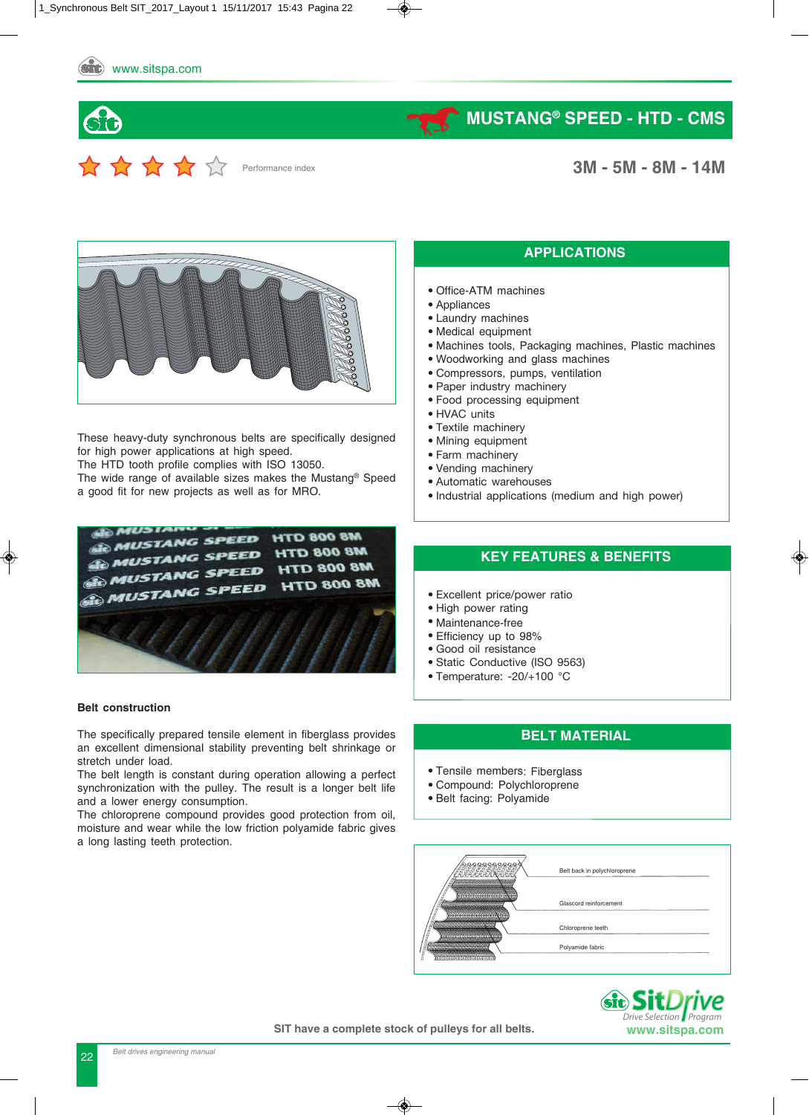Performance index

## **MUSTANG®** SPEED - HTD - CMS

**3M - 5M - 8M - 14M** 



These heavy-duty synchronous belts are specifically designed for high power applications at high speed.

The HTD tooth profile complies with ISO 13050.

The wide range of available sizes makes the Mustang® Speed a good fit for new projects as well as for MRO.



#### **Belt construction**

The specifically prepared tensile element in fiberglass provides an excellent dimensional stability preventing belt shrinkage or stretch under load.

The belt length is constant during operation allowing a perfect synchronization with the pulley. The result is a longer belt life and a lower energy consumption.

The chloroprene compound provides good protection from oil, moisture and wear while the low friction polyamide fabric gives a long lasting teeth protection.

#### **APPLICATIONS**

- Office-ATM machines
- Appliances
- Laundry machines
- Medical equipment
- Machines tools, Packaging machines, Plastic machines
- Woodworking and glass machines
- Compressors, pumps, ventilation
- Paper industry machinery
- Food processing equipment
- HVAC units
- Textile machinery
- Mining equipment
- Farm machinery
- Vending machinery
- Automatic warehouses
- Industrial applications (medium and high power)

#### **KEY FEATURES & BENEFITS**

- Excellent price/power ratio
- High power rating
- Maintenance-free
- Efficiency up to 98%
- Good oil resistance
- Static Conductive (ISO 9563)
- Temperature: -20/+100 °C

#### **BELT MATERIAL**

- Tensile members: Fiberglass
- Compound: Polychloroprene
- Belt facing: Polyamide





**SIT have a complete stock of pulleys for all belts.**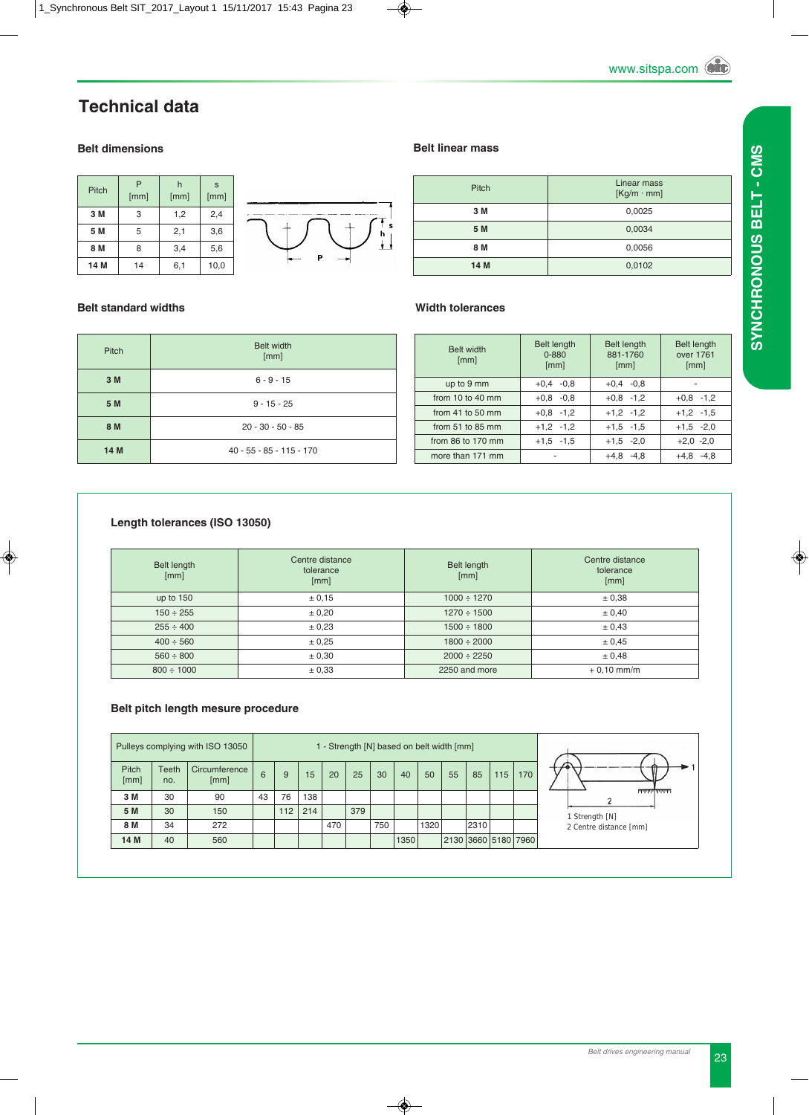## **Technical data**

#### **Belt dimensions**

| Pitch | P<br>[mm] | h<br>[mm] | S<br>[mm] |  |
|-------|-----------|-----------|-----------|--|
| 3 M   | 3         | 1,2       | 2,4       |  |
| 5 M   | 5         | 2,1       | 3,6       |  |
| 8 M   | 8         | 3,4       | 5,6       |  |
| 14 M  | 14        | 6,1       | 10,0      |  |



#### **Belt standard widths**

| <b>Pitch</b> | <b>Belt width</b><br>[mm]  |
|--------------|----------------------------|
| 3 M          | $6 - 9 - 15$               |
| 5 M          | $9 - 15 - 25$              |
| 8 M          | $20 - 30 - 50 - 85$        |
| 14 M         | $40 - 55 - 85 - 115 - 170$ |

| <b>Belt width</b><br>[mm] | <b>Belt length</b><br>$0 - 880$<br>[mm] | <b>Belt length</b><br>881-1760<br>[mm] | <b>Belt length</b><br>over 1761<br>[mm] |
|---------------------------|-----------------------------------------|----------------------------------------|-----------------------------------------|
| up to 9 mm                | $+0.4 -0.8$                             | $+0.4 -0.8$                            |                                         |
| from 10 to 40 mm          | $+0.8 -0.8$                             | $+0.8 -1.2$                            | $+0.8$ -1.2                             |
| from 41 to 50 $mm$        | $+0.8 -1.2$                             | $+1,2$ -1,2                            | $+1,2$ -1,5                             |
| from $51$ to $85$ mm      | $+1,2$ -1,2                             | $+1,5$ -1,5                            | $+1.5 -2.0$                             |
| from 86 to 170 mm         | $+1.5 -1.5$                             | $+1.5 -2.0$                            | $+2,0$ -2,0                             |
| more than 171 mm          |                                         | $+4,8$ $-4,8$                          | $-4.8$<br>$+4,8$                        |

#### **Length tolerances (ISO 13050)**

| Belt length<br>[mm] | Centre distance<br>tolerance<br>[mm] | Belt length<br>[mm] | Centre distance<br>tolerance<br>[mm] |  |
|---------------------|--------------------------------------|---------------------|--------------------------------------|--|
| up to $150$         | ± 0,15                               | $1000 \div 1270$    | ± 0,38                               |  |
| $150 \div 255$      | ± 0,20                               | $1270 \div 1500$    | ± 0,40                               |  |
| $255 \div 400$      | ± 0,23                               | $1500 \div 1800$    | ± 0.43                               |  |
| $400 \div 560$      | ± 0.25                               | $1800 \div 2000$    | ± 0.45                               |  |
| $560 \div 800$      | ± 0,30                               | $2000 \div 2250$    | ± 0,48                               |  |
| $800 \div 1000$     | ± 0,33                               | 2250 and more       | $+0.10$ mm/m                         |  |

#### **Belt pitch length mesure procedure**

|                      | Pulleys complying with ISO 13050 |                       |    | 1 - Strength [N] based on belt width [mm] |     |     |     |     |      |      |    |                     |     |     |                        |
|----------------------|----------------------------------|-----------------------|----|-------------------------------------------|-----|-----|-----|-----|------|------|----|---------------------|-----|-----|------------------------|
| <b>Pitch</b><br>[mm] | <b>Teeth</b><br>no.              | Circumference<br>[mm] | 6  | 9                                         | 15  | 20  | 25  | 30  | 40   | 50   | 55 | 85                  | 115 | 170 |                        |
| 3 M                  | 30                               | 90                    | 43 | 76                                        | 138 |     |     |     |      |      |    |                     |     |     | لتتنتين والمشامسة      |
| 5 M                  | 30                               | 150                   |    | 112                                       | 214 |     | 379 |     |      |      |    |                     |     |     | Strength [N]           |
| 8 M                  | 34                               | 272                   |    |                                           |     | 470 |     | 750 |      | 1320 |    | 2310                |     |     | 2 Centre distance [mm] |
| 14 M                 | 40                               | 560                   |    |                                           |     |     |     |     | 1350 |      |    | 2130 3660 5180 7960 |     |     |                        |

#### **Belt linear mass**

| Pitch | Linear mass<br>$[Kg/m \cdot mm]$ |  |  |  |  |
|-------|----------------------------------|--|--|--|--|
| 3 M   | 0,0025                           |  |  |  |  |
| 5 M   | 0,0034                           |  |  |  |  |
| 8 M   | 0,0056                           |  |  |  |  |
| 14 M  | 0,0102                           |  |  |  |  |

#### **Width tolerances**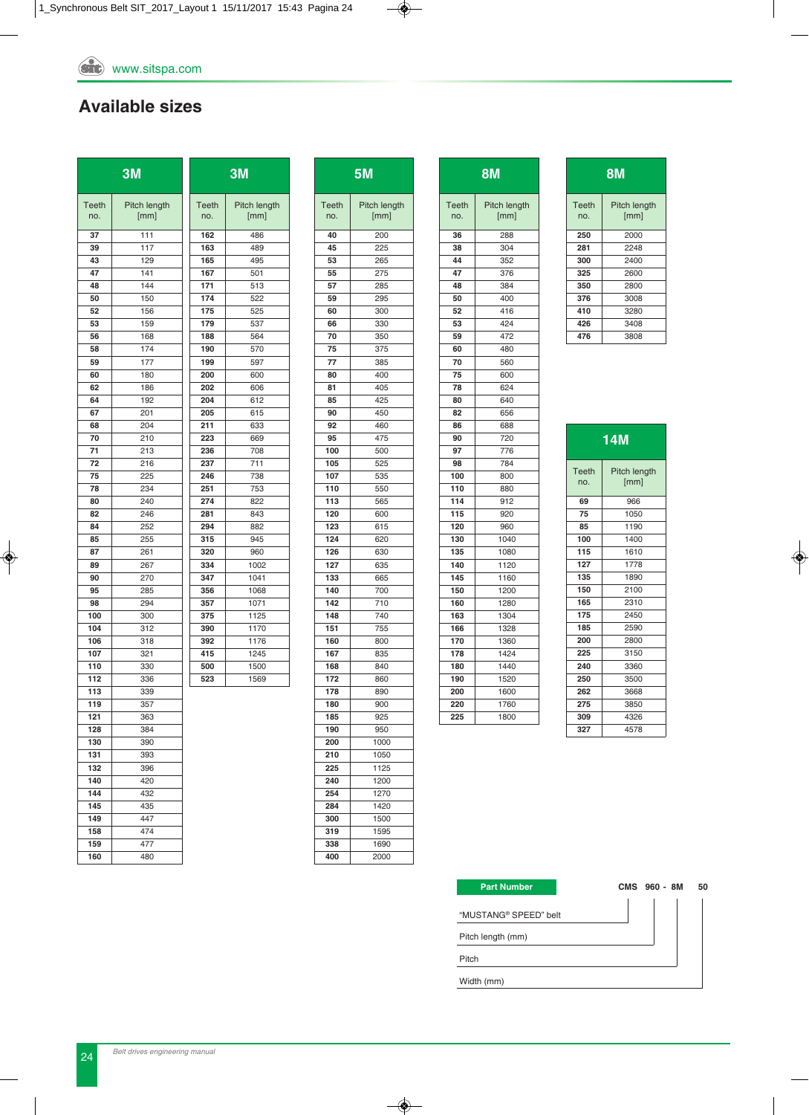## **Available sizes**

|                     | 3M                   |                     | 3M                   |
|---------------------|----------------------|---------------------|----------------------|
| <b>Teeth</b><br>no. | Pitch length<br>[mm] | <b>Teeth</b><br>no. | Pitch length<br>[mm] |
| 37                  | 111                  | 162                 | 486                  |
| 39                  | 117                  | 163                 | 489                  |
| 43                  | 129                  | 165                 | 495                  |
| 47                  | 141                  | 167                 | 501                  |
| 48                  | 144                  | 171                 | 513                  |
| 50                  | 150                  | 174                 | 522                  |
| 52                  | 156                  | 175                 | 525                  |
| 53                  | 159                  | 179                 | 537                  |
| 56                  | 168                  | 188                 | 564                  |
| 58                  | 174                  | 190                 | 570                  |
| 59                  | 177                  | 199                 | 597                  |
| 60                  | 180                  | 200                 | 600                  |
| 62                  | 186                  | 202<br>204          | 606                  |
| 64<br>67            | 192<br>201           | 205                 | 612<br>615           |
| 68                  | 204                  | 211                 | 633                  |
| 70                  | 210                  | 223                 | 669                  |
| 71                  | 213                  | 236                 | 708                  |
| 72                  | 216                  | 237                 | 711                  |
| 75                  | 225                  | 246                 | 738                  |
| 78                  | 234                  | 251                 | 753                  |
| 80                  | 240                  | 274                 | 822                  |
| 82                  | 246                  | 281                 | 843                  |
| 84                  | 252                  | 294                 | 882                  |
| 85                  | 255                  | 315                 | 945                  |
| 87                  | 261                  | 320                 | 960                  |
| 89                  | 267                  | 334                 | 1002                 |
| 90                  | 270                  | 347                 | 1041                 |
| 95                  | 285                  | 356                 | 1068                 |
| 98                  | 294                  | 357                 | 1071                 |
| 100                 | 300                  | 375                 | 1125                 |
| 104                 | 312                  | 390                 | 1170                 |
| 106                 | 318                  | 392                 | 1176                 |
| 107                 | 321                  | 415                 | 1245                 |
| 110                 | 330                  | 500                 | 1500                 |
| 112                 | 336                  | 523                 | 1569                 |
| 113<br>119          | 339<br>357           |                     |                      |
| 121                 |                      |                     |                      |
| 128                 | 363<br>384           |                     |                      |
| 130                 | 390                  |                     |                      |
| 131                 | 393                  |                     |                      |
| 132                 | 396                  |                     |                      |
| 140                 | 420                  |                     |                      |
| 144                 | 432                  |                     |                      |
| 145                 | 435                  |                     |                      |
| 149                 | 447                  |                     |                      |
| 158                 | 474                  |                     |                      |
| 159                 | 477                  |                     |                      |
| 160                 | 480                  |                     |                      |

| <b>5M</b>    |                      |  |  |  |
|--------------|----------------------|--|--|--|
| Teeth<br>no. | Pitch length<br>[mm] |  |  |  |
| 40           | 200                  |  |  |  |
| 45           | 225                  |  |  |  |
| 53           | 265                  |  |  |  |
| 55           | 275                  |  |  |  |
| 57           | 285                  |  |  |  |
| 59           | 295                  |  |  |  |
| 60           | 300                  |  |  |  |
| 66           | 330                  |  |  |  |
| 70           | 350                  |  |  |  |
| 75           | 375                  |  |  |  |
| 77           | 385                  |  |  |  |
| 80           | 400                  |  |  |  |
| 81           | 405                  |  |  |  |
| 85           | 425                  |  |  |  |
| 90           | 450                  |  |  |  |
| 92           | 460                  |  |  |  |
| 95           | 475                  |  |  |  |
| 100          | 500                  |  |  |  |
| 105          | 525                  |  |  |  |
| 107          | 535                  |  |  |  |
| 110          | 550                  |  |  |  |
| 113          | 565                  |  |  |  |
| 120          | 600                  |  |  |  |
| 123          | 615                  |  |  |  |
| 124          | 620                  |  |  |  |
| 126          | 630                  |  |  |  |
| 127          | 635                  |  |  |  |
| 133          | 665                  |  |  |  |
| 140          | 700                  |  |  |  |
| 142          | 710                  |  |  |  |
| 148          | 740                  |  |  |  |
| 151          | 755                  |  |  |  |
| 160          | 800                  |  |  |  |
| 167          | 835                  |  |  |  |
| 168          | 840                  |  |  |  |
| 172          | 860                  |  |  |  |
| 178          | 890                  |  |  |  |
| 180          | 900                  |  |  |  |
| 185          | 925                  |  |  |  |
| 190          | 950                  |  |  |  |
| 200          | 1000                 |  |  |  |
| 210          | 1050                 |  |  |  |
| 225          | 1125                 |  |  |  |
| 240          | 1200                 |  |  |  |
| 254          | 1270                 |  |  |  |
| 284          | 1420                 |  |  |  |
| 300          | 1500                 |  |  |  |
| 319          | 1595                 |  |  |  |
| 338          | 1690                 |  |  |  |
| 400          | 2000                 |  |  |  |

|              | <b>8M</b>            |  |  |  |  |
|--------------|----------------------|--|--|--|--|
| Teeth<br>no. | Pitch length<br>[mm] |  |  |  |  |
| 36           | 288                  |  |  |  |  |
| 38           | 304                  |  |  |  |  |
| 44           | 352                  |  |  |  |  |
| 47           | 376                  |  |  |  |  |
| 48           | 384                  |  |  |  |  |
| 50           | 400                  |  |  |  |  |
| 52           | 416                  |  |  |  |  |
| 53           | 424                  |  |  |  |  |
| 59           | 472                  |  |  |  |  |
| 60           | 480                  |  |  |  |  |
| 70           | 560                  |  |  |  |  |
| 75           | 600                  |  |  |  |  |
| 78           | 624                  |  |  |  |  |
| 80           | 640                  |  |  |  |  |
| 82           | 656                  |  |  |  |  |
| 86           | 688                  |  |  |  |  |
| 90           | 720                  |  |  |  |  |
| 97           | 776                  |  |  |  |  |
| 98           | 784                  |  |  |  |  |
| 100          | 800                  |  |  |  |  |
| 110          | 880                  |  |  |  |  |
| 114          | 912                  |  |  |  |  |
| 115          | 920                  |  |  |  |  |
| 120          | 960                  |  |  |  |  |
| 130          | 1040                 |  |  |  |  |
| 135          | 1080                 |  |  |  |  |
| 140          | 1120                 |  |  |  |  |
| 145          | 1160                 |  |  |  |  |
| 150          | 1200                 |  |  |  |  |
| 160          | 1280                 |  |  |  |  |
| 163          | 1304                 |  |  |  |  |
| 166          | 1328                 |  |  |  |  |
| 170          | 1360                 |  |  |  |  |
| 178          | 1424                 |  |  |  |  |
| 180          | 1440                 |  |  |  |  |
| 190          | 1520                 |  |  |  |  |
| 200          | 1600                 |  |  |  |  |
| 220          | 1760                 |  |  |  |  |
| 225          | 1800                 |  |  |  |  |
|              |                      |  |  |  |  |

| 8M           |                      |  |  |  |  |
|--------------|----------------------|--|--|--|--|
| Teeth<br>no. | Pitch length<br>[mm] |  |  |  |  |
| 250          | 2000                 |  |  |  |  |
| 281          | 2248                 |  |  |  |  |
| 300          | 2400                 |  |  |  |  |
| 325          | 2600                 |  |  |  |  |
| 350          | 2800                 |  |  |  |  |
| 376          | 3008                 |  |  |  |  |
| 410          | 3280                 |  |  |  |  |
| 426          | 3408                 |  |  |  |  |
| 476          | 3808                 |  |  |  |  |

| 14M          |                      |  |  |  |  |
|--------------|----------------------|--|--|--|--|
| Teeth<br>no. | Pitch length<br>[mm] |  |  |  |  |
| 69           | 966                  |  |  |  |  |
| 75           | 1050                 |  |  |  |  |
| 85           | 1190                 |  |  |  |  |
| 100          | 1400                 |  |  |  |  |
| 115          | 1610                 |  |  |  |  |
| 127          | 1778                 |  |  |  |  |
| 135          | 1890                 |  |  |  |  |
| 150          | 2100                 |  |  |  |  |
| 165          | 2310                 |  |  |  |  |
| 175          | 2450                 |  |  |  |  |
| 185          | 2590                 |  |  |  |  |
| 200          | 2800                 |  |  |  |  |
| 225          | 3150                 |  |  |  |  |
| 240          | 3360                 |  |  |  |  |
| 250          | 3500                 |  |  |  |  |
| 262          | 3668                 |  |  |  |  |
| 275          | 3850                 |  |  |  |  |
| 309          | 4326                 |  |  |  |  |
| 327          | 4578                 |  |  |  |  |

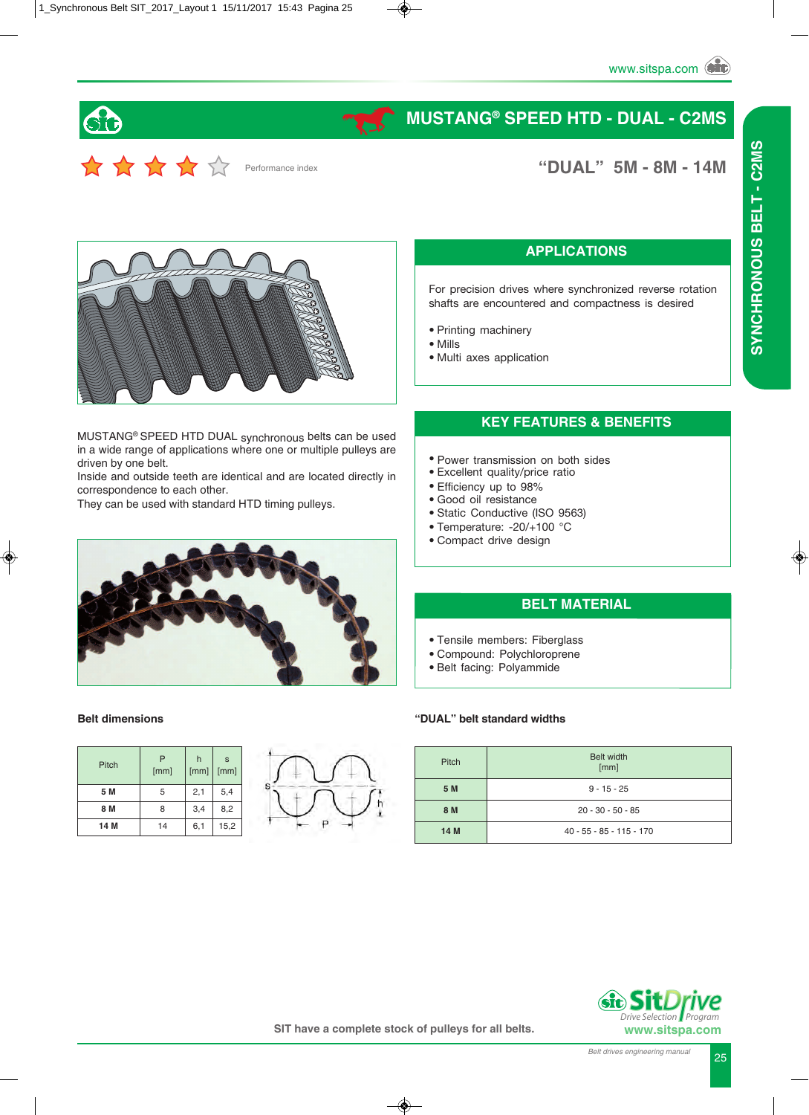

# **MUSTANG® SPEED HTD - DUAL - C2MS**

\*\*\*\*\* Performance index

**"DUAL" 5M - 8M - 14M**



MUSTANG® SPEED HTD DUAL synchronous belts can be used in a wide range of applications where one or multiple pulleys are driven by one belt.

Inside and outside teeth are identical and are located directly in correspondence to each other.

They can be used with standard HTD timing pulleys.



#### **APPLICATIONS**

For precision drives where synchronized reverse rotation shafts are encountered and compactness is desired

- Printing machinery
- Mills
- Multi axes application

#### **KEY FEATURES & BENEFITS**

- Power transmission on both sides
- Excellent quality/price ratio
- Efficiency up to 98%
- Good oil resistance
- Static Conductive (ISO 9563)
- Temperature: -20/+100 °C
- Compact drive design

#### **BELT MATERIAL**

- Tensile members: Fiberglass
- Compound: Polychloroprene
- Belt facing: Polyammide

#### **Belt dimensions**

| Pitch | P<br>[mm] | h<br>[mm] | s<br>[mm] |
|-------|-----------|-----------|-----------|
| 5 M   | 5         | 2,1       | 5,4       |
| 8 M   | 8         | 3,4       | 8,2       |
| 14 M  | 14        | 6,1       | 15,2      |



#### **"DUAL" belt standard widths**

| Pitch | <b>Belt width</b><br>[mm]  |
|-------|----------------------------|
| 5 M   | $9 - 15 - 25$              |
| 8 M   | $20 - 30 - 50 - 85$        |
| 14 M  | $40 - 55 - 85 - 115 - 170$ |



 *Program*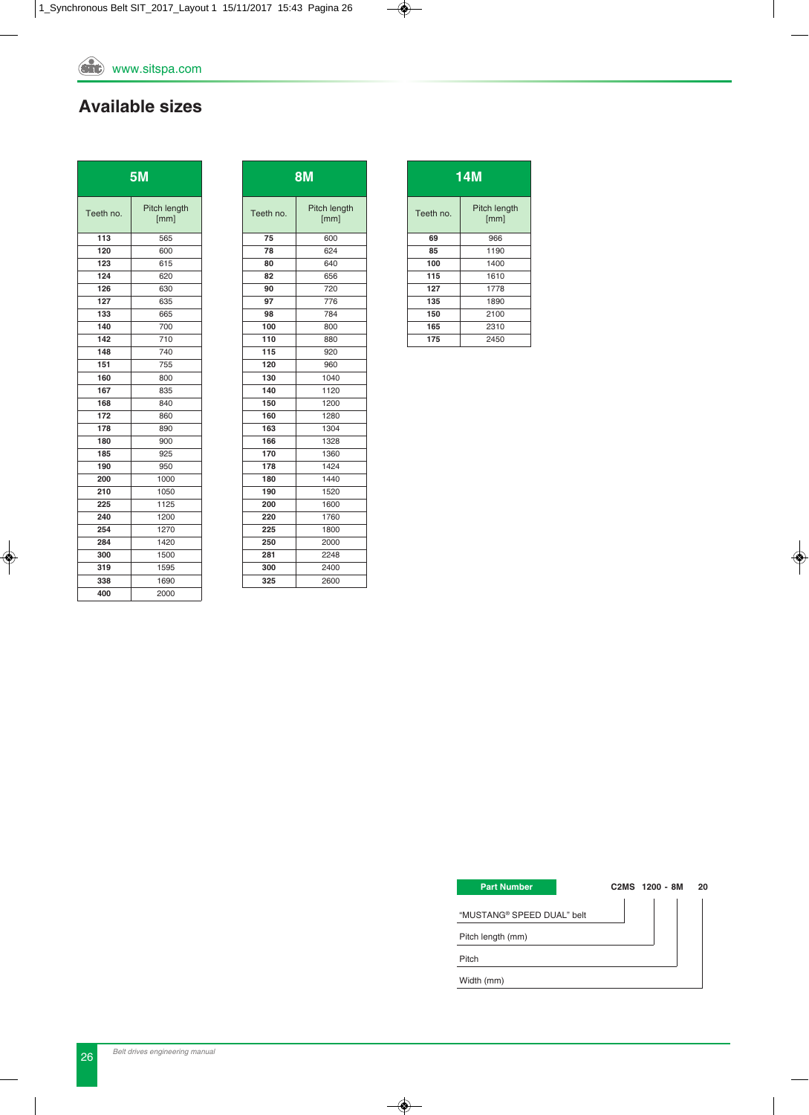## **Available sizes**

|           | 5 <sub>M</sub>       |
|-----------|----------------------|
| Teeth no. | Pitch length<br>[mm] |
| 113       | 565                  |
| 120       | 600                  |
| 123       | 615                  |
| 124       | 620                  |
| 126       | 630                  |
| 127       | 635                  |
| 133       | 665                  |
| 140       | 700                  |
| 142       | 710                  |
| 148       | 740                  |
| 151       | 755                  |
| 160       | 800                  |
| 167       | 835                  |
| 168       | 840                  |
| 172       | 860                  |
| 178       | 890                  |
| 180       | 900                  |
| 185       | 925                  |
| 190       | 950                  |
| 200       | 1000                 |
| 210       | 1050                 |
| 225       | 1125                 |
| 240       | 1200                 |
| 254       | 1270                 |
| 284       | 1420                 |
| 300       | 1500                 |
| 319       | 1595                 |
| 338       | 1690                 |
| 400       | 2000                 |

|           | <b>8M</b>            |
|-----------|----------------------|
| Teeth no. | Pitch length<br>[mm] |
| 75        | 600                  |
| 78        | 624                  |
| 80        | 640                  |
| 82        | 656                  |
| 90        | 720                  |
| 97        | 776                  |
| 98        | 784                  |
| 100       | 800                  |
| 110       | 880                  |
| 115       | 920                  |
| 120       | 960                  |
| 130       | 1040                 |
| 140       | 1120                 |
| 150       | 1200                 |
| 160       | 1280                 |
| 163       | 1304                 |
| 166       | 1328                 |
| 170       | 1360                 |
| 178       | 1424                 |
| 180       | 1440                 |
| 190       | 1520                 |
| 200       | 1600                 |
| 220       | 1760                 |
| 225       | 1800                 |
| 250       | 2000                 |
| 281       | 2248                 |
| 300       | 2400                 |
| 325       | 2600                 |

|           | 14M                  |
|-----------|----------------------|
| Teeth no. | Pitch length<br>[mm] |
| 69        | 966                  |
| 85        | 1190                 |
| 100       | 1400                 |
| 115       | 1610                 |
| 127       | 1778                 |
| 135       | 1890                 |
| 150       | 2100                 |
| 165       | 2310                 |
| 175       | 2450                 |

| <b>Part Number</b>         | C2MS 1200 - 8M | 20 |
|----------------------------|----------------|----|
| "MUSTANG® SPEED DUAL" belt |                |    |
| Pitch length (mm)          |                |    |
| Pitch                      |                |    |
| Width (mm)                 |                |    |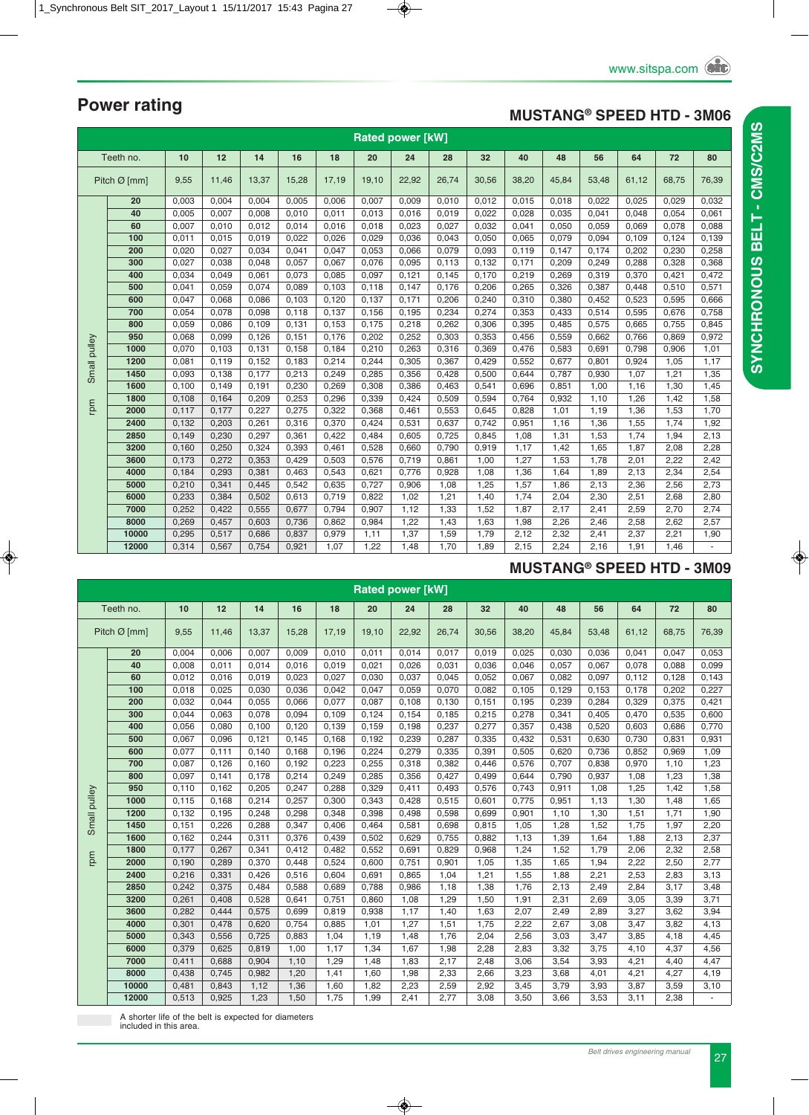### **MUSTANG® SPEED HTD - 3M06**

|              | <b>Rated power [kW]</b><br>Teeth no.<br>12<br>14<br>32<br>48<br>56<br>10<br>16<br>18<br>20<br>24<br>28<br>40<br>64<br>72<br>80 |       |       |       |       |       |       |       |       |       |       |       |       |       |       |       |
|--------------|--------------------------------------------------------------------------------------------------------------------------------|-------|-------|-------|-------|-------|-------|-------|-------|-------|-------|-------|-------|-------|-------|-------|
|              |                                                                                                                                |       |       |       |       |       |       |       |       |       |       |       |       |       |       |       |
|              | Pitch $\varnothing$ [mm]                                                                                                       | 9,55  | 11,46 | 13,37 | 15,28 | 17,19 | 19,10 | 22,92 | 26,74 | 30,56 | 38,20 | 45,84 | 53,48 | 61,12 | 68,75 | 76,39 |
|              | 20                                                                                                                             | 0,003 | 0,004 | 0,004 | 0,005 | 0,006 | 0,007 | 0,009 | 0,010 | 0,012 | 0,015 | 0,018 | 0,022 | 0,025 | 0,029 | 0,032 |
|              | 40                                                                                                                             | 0,005 | 0,007 | 0,008 | 0,010 | 0,011 | 0,013 | 0,016 | 0,019 | 0,022 | 0,028 | 0,035 | 0,041 | 0,048 | 0,054 | 0,061 |
|              | 60                                                                                                                             | 0,007 | 0,010 | 0,012 | 0,014 | 0,016 | 0,018 | 0,023 | 0,027 | 0,032 | 0,041 | 0,050 | 0,059 | 0,069 | 0,078 | 0,088 |
|              | 100                                                                                                                            | 0,011 | 0,015 | 0,019 | 0,022 | 0,026 | 0,029 | 0,036 | 0,043 | 0,050 | 0,065 | 0,079 | 0,094 | 0,109 | 0,124 | 0,139 |
|              | 200                                                                                                                            | 0,020 | 0,027 | 0,034 | 0,041 | 0,047 | 0,053 | 0,066 | 0,079 | 0,093 | 0,119 | 0,147 | 0,174 | 0,202 | 0,230 | 0,258 |
|              | 300                                                                                                                            | 0,027 | 0,038 | 0,048 | 0,057 | 0,067 | 0,076 | 0,095 | 0,113 | 0,132 | 0,171 | 0,209 | 0,249 | 0,288 | 0,328 | 0,368 |
|              | 400                                                                                                                            | 0,034 | 0,049 | 0,061 | 0,073 | 0,085 | 0,097 | 0,121 | 0,145 | 0,170 | 0,219 | 0,269 | 0,319 | 0,370 | 0,421 | 0,472 |
|              | 500                                                                                                                            | 0,041 | 0,059 | 0,074 | 0,089 | 0,103 | 0,118 | 0,147 | 0,176 | 0,206 | 0,265 | 0,326 | 0,387 | 0,448 | 0,510 | 0,571 |
|              | 600                                                                                                                            | 0,047 | 0,068 | 0,086 | 0,103 | 0,120 | 0,137 | 0,171 | 0,206 | 0,240 | 0,310 | 0,380 | 0,452 | 0,523 | 0,595 | 0,666 |
|              | 700                                                                                                                            | 0,054 | 0,078 | 0,098 | 0,118 | 0,137 | 0,156 | 0,195 | 0,234 | 0,274 | 0,353 | 0,433 | 0,514 | 0,595 | 0,676 | 0,758 |
|              | 800                                                                                                                            | 0,059 | 0,086 | 0,109 | 0,131 | 0,153 | 0,175 | 0,218 | 0,262 | 0,306 | 0,395 | 0,485 | 0,575 | 0,665 | 0,755 | 0,845 |
|              | 950                                                                                                                            | 0,068 | 0,099 | 0,126 | 0,151 | 0,176 | 0,202 | 0,252 | 0,303 | 0,353 | 0,456 | 0,559 | 0,662 | 0,766 | 0,869 | 0,972 |
|              | 1000                                                                                                                           | 0,070 | 0,103 | 0,131 | 0,158 | 0,184 | 0,210 | 0,263 | 0,316 | 0,369 | 0,476 | 0,583 | 0,691 | 0,798 | 0,906 | 1,01  |
|              | 1200                                                                                                                           | 0,081 | 0.119 | 0,152 | 0,183 | 0,214 | 0,244 | 0,305 | 0,367 | 0,429 | 0,552 | 0,677 | 0,801 | 0,924 | 1,05  | 1,17  |
| Small pulley | 1450                                                                                                                           | 0,093 | 0,138 | 0,177 | 0,213 | 0,249 | 0,285 | 0,356 | 0,428 | 0,500 | 0,644 | 0,787 | 0,930 | 1,07  | 1,21  | 1,35  |
|              | 1600                                                                                                                           | 0,100 | 0,149 | 0,191 | 0,230 | 0,269 | 0,308 | 0,386 | 0,463 | 0,541 | 0,696 | 0,851 | 1,00  | 1,16  | 1,30  | 1,45  |
|              | 1800                                                                                                                           | 0,108 | 0,164 | 0,209 | 0,253 | 0,296 | 0,339 | 0,424 | 0,509 | 0,594 | 0,764 | 0,932 | 1,10  | 1,26  | 1,42  | 1,58  |
| rpm          | 2000                                                                                                                           | 0,117 | 0,177 | 0,227 | 0,275 | 0,322 | 0,368 | 0,461 | 0,553 | 0,645 | 0,828 | 1,01  | 1,19  | 1,36  | 1,53  | 1,70  |
|              | 2400                                                                                                                           | 0,132 | 0,203 | 0,261 | 0,316 | 0,370 | 0,424 | 0,531 | 0.637 | 0,742 | 0,951 | 1,16  | 1,36  | 1,55  | 1,74  | 1,92  |
|              | 2850                                                                                                                           | 0,149 | 0,230 | 0,297 | 0,361 | 0,422 | 0,484 | 0,605 | 0,725 | 0,845 | 1,08  | 1,31  | 1,53  | 1,74  | 1,94  | 2,13  |
|              | 3200                                                                                                                           | 0,160 | 0,250 | 0,324 | 0,393 | 0,461 | 0,528 | 0,660 | 0,790 | 0,919 | 1,17  | 1,42  | 1,65  | 1,87  | 2,08  | 2,28  |
|              | 3600                                                                                                                           | 0,173 | 0,272 | 0,353 | 0,429 | 0,503 | 0,576 | 0,719 | 0,861 | 1,00  | 1,27  | 1,53  | 1,78  | 2,01  | 2,22  | 2,42  |
|              | 4000                                                                                                                           | 0,184 | 0,293 | 0,381 | 0,463 | 0,543 | 0,621 | 0,776 | 0,928 | 1,08  | 1,36  | 1,64  | 1,89  | 2,13  | 2,34  | 2,54  |
|              | 5000                                                                                                                           | 0,210 | 0,341 | 0,445 | 0,542 | 0,635 | 0,727 | 0,906 | 1,08  | 1,25  | 1,57  | 1,86  | 2,13  | 2,36  | 2,56  | 2,73  |
|              | 6000                                                                                                                           | 0,233 | 0,384 | 0,502 | 0,613 | 0,719 | 0,822 | 1,02  | 1,21  | 1,40  | 1,74  | 2,04  | 2,30  | 2,51  | 2,68  | 2,80  |
|              | 7000                                                                                                                           | 0,252 | 0,422 | 0,555 | 0,677 | 0,794 | 0,907 | 1,12  | 1,33  | 1,52  | 1,87  | 2,17  | 2,41  | 2,59  | 2,70  | 2,74  |
|              | 8000                                                                                                                           | 0,269 | 0,457 | 0,603 | 0,736 | 0,862 | 0,984 | 1,22  | 1,43  | 1,63  | 1,98  | 2,26  | 2,46  | 2,58  | 2,62  | 2,57  |
|              | 10000                                                                                                                          | 0,295 | 0,517 | 0,686 | 0,837 | 0,979 | 1,11  | 1,37  | 1,59  | 1,79  | 2,12  | 2,32  | 2,41  | 2,37  | 2,21  | 1,90  |
|              | 12000                                                                                                                          | 0,314 | 0,567 | 0,754 | 0,921 | 1,07  | 1,22  | 1,48  | 1,70  | 1,89  | 2,15  | 2,24  | 2,16  | 1,91  | 1,46  |       |

### **MUSTANG® SPEED HTD - 3M09**

|              | <b>Rated power [kW]</b><br>Teeth no.<br>40<br>48<br>64<br>16<br>72 |       |       |       |       |       |       |       |       |       |       |       |       |       |       |       |
|--------------|--------------------------------------------------------------------|-------|-------|-------|-------|-------|-------|-------|-------|-------|-------|-------|-------|-------|-------|-------|
|              |                                                                    | 10    | 12    | 14    |       | 18    | 20    | 24    | 28    | 32    |       |       | 56    |       |       | 80    |
|              | Pitch $\varnothing$ [mm]                                           | 9,55  | 11,46 | 13,37 | 15,28 | 17,19 | 19,10 | 22,92 | 26,74 | 30,56 | 38,20 | 45,84 | 53,48 | 61,12 | 68,75 | 76,39 |
|              | 20                                                                 | 0,004 | 0,006 | 0,007 | 0,009 | 0,010 | 0,011 | 0,014 | 0,017 | 0,019 | 0,025 | 0,030 | 0,036 | 0,041 | 0,047 | 0,053 |
|              | 40                                                                 | 0,008 | 0,011 | 0,014 | 0,016 | 0,019 | 0,021 | 0,026 | 0,031 | 0,036 | 0,046 | 0,057 | 0,067 | 0,078 | 0,088 | 0,099 |
|              | 60                                                                 | 0,012 | 0,016 | 0,019 | 0,023 | 0,027 | 0,030 | 0,037 | 0,045 | 0,052 | 0,067 | 0,082 | 0,097 | 0,112 | 0,128 | 0,143 |
|              | 100                                                                | 0,018 | 0,025 | 0,030 | 0,036 | 0,042 | 0,047 | 0,059 | 0,070 | 0,082 | 0,105 | 0,129 | 0,153 | 0,178 | 0,202 | 0,227 |
|              | 200                                                                | 0,032 | 0,044 | 0,055 | 0,066 | 0,077 | 0,087 | 0,108 | 0,130 | 0,151 | 0,195 | 0,239 | 0,284 | 0,329 | 0,375 | 0,421 |
|              | 300                                                                | 0,044 | 0,063 | 0,078 | 0,094 | 0,109 | 0,124 | 0,154 | 0,185 | 0,215 | 0,278 | 0,341 | 0,405 | 0,470 | 0,535 | 0,600 |
|              | 400                                                                | 0,056 | 0,080 | 0,100 | 0,120 | 0.139 | 0,159 | 0,198 | 0,237 | 0,277 | 0,357 | 0,438 | 0,520 | 0,603 | 0,686 | 0,770 |
|              | 500                                                                | 0,067 | 0,096 | 0,121 | 0,145 | 0,168 | 0,192 | 0,239 | 0,287 | 0,335 | 0,432 | 0,531 | 0,630 | 0,730 | 0,831 | 0,931 |
|              | 600                                                                | 0,077 | 0,111 | 0,140 | 0,168 | 0,196 | 0,224 | 0,279 | 0,335 | 0,391 | 0,505 | 0,620 | 0,736 | 0,852 | 0,969 | 1,09  |
|              | 700                                                                | 0,087 | 0,126 | 0,160 | 0,192 | 0,223 | 0,255 | 0,318 | 0,382 | 0,446 | 0,576 | 0,707 | 0,838 | 0,970 | 1,10  | 1,23  |
|              | 800                                                                | 0,097 | 0,141 | 0,178 | 0,214 | 0,249 | 0,285 | 0,356 | 0,427 | 0,499 | 0,644 | 0,790 | 0,937 | 1,08  | 1,23  | 1,38  |
|              | 950                                                                | 0,110 | 0.162 | 0,205 | 0,247 | 0,288 | 0,329 | 0,411 | 0,493 | 0,576 | 0,743 | 0,911 | 1,08  | 1,25  | 1,42  | 1,58  |
| Small pulley | 1000                                                               | 0,115 | 0,168 | 0,214 | 0,257 | 0,300 | 0,343 | 0,428 | 0,515 | 0,601 | 0,775 | 0,951 | 1,13  | 1,30  | 1,48  | 1,65  |
|              | 1200                                                               | 0,132 | 0,195 | 0,248 | 0,298 | 0,348 | 0,398 | 0,498 | 0,598 | 0,699 | 0,901 | 1,10  | 1,30  | 1,51  | 1,71  | 1,90  |
|              | 1450                                                               | 0,151 | 0,226 | 0,288 | 0,347 | 0,406 | 0,464 | 0,581 | 0,698 | 0,815 | 1,05  | 1,28  | 1,52  | 1,75  | 1,97  | 2,20  |
|              | 1600                                                               | 0,162 | 0,244 | 0,311 | 0,376 | 0,439 | 0,502 | 0,629 | 0,755 | 0,882 | 1,13  | 1,39  | 1,64  | 1,88  | 2,13  | 2,37  |
|              | 1800                                                               | 0,177 | 0,267 | 0,341 | 0,412 | 0,482 | 0,552 | 0,691 | 0,829 | 0,968 | 1,24  | 1,52  | 1,79  | 2,06  | 2,32  | 2,58  |
| rpm          | 2000                                                               | 0,190 | 0,289 | 0,370 | 0,448 | 0,524 | 0,600 | 0,751 | 0,901 | 1,05  | 1,35  | 1,65  | 1,94  | 2,22  | 2,50  | 2,77  |
|              | 2400                                                               | 0,216 | 0,331 | 0,426 | 0,516 | 0,604 | 0,691 | 0,865 | 1,04  | 1,21  | 1,55  | 1,88  | 2,21  | 2,53  | 2,83  | 3,13  |
|              | 2850                                                               | 0,242 | 0,375 | 0,484 | 0,588 | 0,689 | 0,788 | 0,986 | 1,18  | 1,38  | 1,76  | 2,13  | 2,49  | 2,84  | 3,17  | 3,48  |
|              | 3200                                                               | 0,261 | 0,408 | 0,528 | 0,641 | 0,751 | 0,860 | 1,08  | 1,29  | 1,50  | 1,91  | 2,31  | 2,69  | 3,05  | 3,39  | 3,71  |
|              | 3600                                                               | 0,282 | 0,444 | 0,575 | 0,699 | 0,819 | 0,938 | 1,17  | 1,40  | 1,63  | 2,07  | 2,49  | 2,89  | 3,27  | 3,62  | 3,94  |
|              | 4000                                                               | 0,301 | 0,478 | 0,620 | 0,754 | 0,885 | 1,01  | 1,27  | 1,51  | 1,75  | 2,22  | 2,67  | 3,08  | 3,47  | 3,82  | 4,13  |
|              | 5000                                                               | 0,343 | 0,556 | 0,725 | 0,883 | 1,04  | 1,19  | 1,48  | 1,76  | 2,04  | 2,56  | 3,03  | 3,47  | 3,85  | 4,18  | 4,45  |
|              | 6000                                                               | 0,379 | 0,625 | 0,819 | 1,00  | 1,17  | 1,34  | 1,67  | 1,98  | 2,28  | 2,83  | 3,32  | 3,75  | 4,10  | 4,37  | 4,56  |
|              | 7000                                                               | 0,411 | 0,688 | 0,904 | 1,10  | 1,29  | 1,48  | 1,83  | 2,17  | 2,48  | 3,06  | 3,54  | 3,93  | 4,21  | 4,40  | 4,47  |
|              | 8000                                                               | 0,438 | 0,745 | 0,982 | 1,20  | 1,41  | 1,60  | 1,98  | 2,33  | 2,66  | 3,23  | 3,68  | 4,01  | 4,21  | 4,27  | 4,19  |
|              | 10000                                                              | 0,481 | 0,843 | 1,12  | 1,36  | 1,60  | 1,82  | 2,23  | 2,59  | 2,92  | 3,45  | 3,79  | 3,93  | 3,87  | 3,59  | 3,10  |
|              | 12000                                                              | 0,513 | 0,925 | 1,23  | 1,50  | 1,75  | 1,99  | 2.41  | 2,77  | 3,08  | 3,50  | 3,66  | 3,53  | 3,11  | 2,38  |       |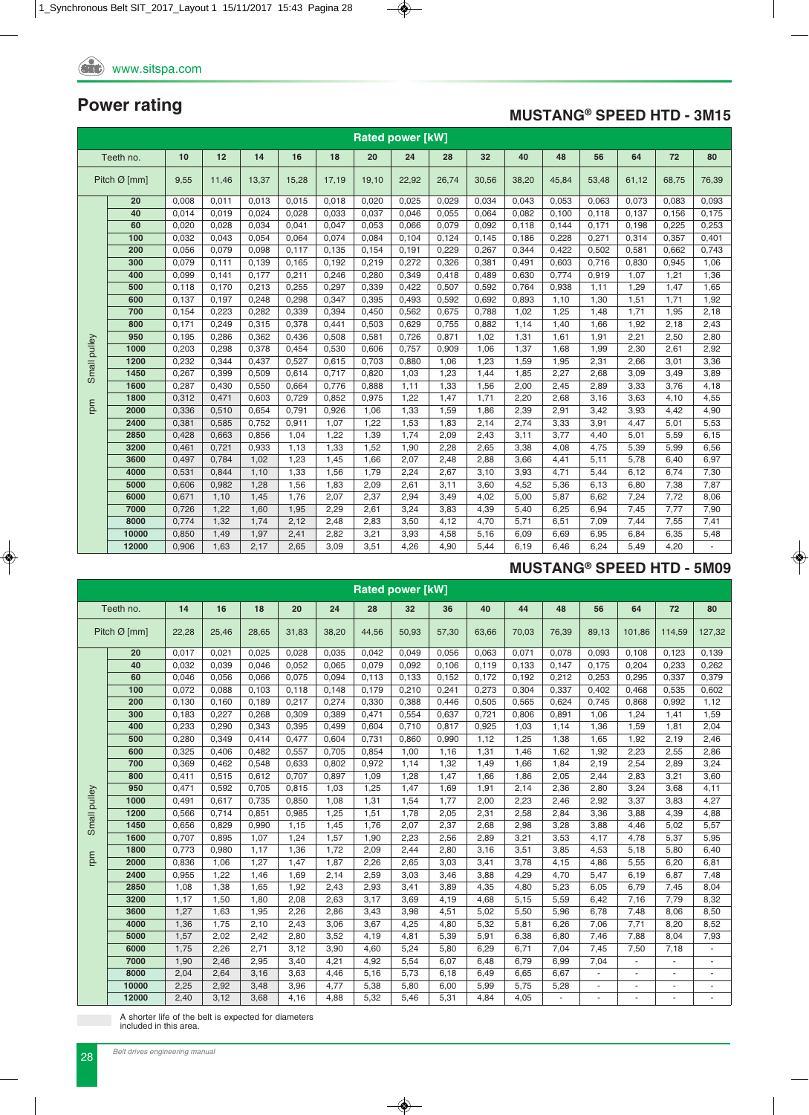### **MUSTANG® SPEED HTD - 3M15**

|              | <b>Rated power [kW]</b><br>12<br>14<br>18<br>20<br>24<br>32<br>48<br>56<br>80<br>Teeth no.<br>10<br>16<br>28<br>40<br>64<br>72 |       |       |       |       |       |       |       |       |       |       |       |       |       |       |       |
|--------------|--------------------------------------------------------------------------------------------------------------------------------|-------|-------|-------|-------|-------|-------|-------|-------|-------|-------|-------|-------|-------|-------|-------|
|              |                                                                                                                                |       |       |       |       |       |       |       |       |       |       |       |       |       |       |       |
|              | Pitch $Ø$ [mm]                                                                                                                 | 9,55  | 11,46 | 13,37 | 15,28 | 17,19 | 19,10 | 22,92 | 26,74 | 30,56 | 38,20 | 45,84 | 53,48 | 61,12 | 68,75 | 76,39 |
|              | 20                                                                                                                             | 0,008 | 0,011 | 0,013 | 0,015 | 0,018 | 0,020 | 0,025 | 0,029 | 0,034 | 0,043 | 0,053 | 0,063 | 0,073 | 0,083 | 0,093 |
|              | 40                                                                                                                             | 0,014 | 0.019 | 0,024 | 0.028 | 0,033 | 0,037 | 0,046 | 0,055 | 0,064 | 0,082 | 0.100 | 0,118 | 0,137 | 0,156 | 0,175 |
|              | 60                                                                                                                             | 0,020 | 0,028 | 0,034 | 0,041 | 0,047 | 0,053 | 0,066 | 0,079 | 0,092 | 0,118 | 0,144 | 0,171 | 0,198 | 0,225 | 0,253 |
|              | 100                                                                                                                            | 0,032 | 0,043 | 0,054 | 0,064 | 0,074 | 0,084 | 0,104 | 0,124 | 0,145 | 0,186 | 0,228 | 0,271 | 0,314 | 0,357 | 0,401 |
|              | 200                                                                                                                            | 0,056 | 0,079 | 0,098 | 0,117 | 0,135 | 0,154 | 0,191 | 0,229 | 0,267 | 0,344 | 0,422 | 0,502 | 0,581 | 0,662 | 0,743 |
|              | 300                                                                                                                            | 0,079 | 0,111 | 0,139 | 0,165 | 0,192 | 0,219 | 0,272 | 0,326 | 0,381 | 0,491 | 0,603 | 0,716 | 0,830 | 0,945 | 1,06  |
|              | 400                                                                                                                            | 0,099 | 0,141 | 0,177 | 0,211 | 0,246 | 0,280 | 0,349 | 0,418 | 0,489 | 0,630 | 0,774 | 0,919 | 1,07  | 1,21  | 1,36  |
|              | 500                                                                                                                            | 0,118 | 0,170 | 0,213 | 0,255 | 0,297 | 0,339 | 0,422 | 0,507 | 0,592 | 0,764 | 0,938 | 1,11  | 1,29  | 1,47  | 1,65  |
|              | 600                                                                                                                            | 0,137 | 0,197 | 0,248 | 0,298 | 0,347 | 0,395 | 0,493 | 0,592 | 0,692 | 0,893 | 1,10  | 1,30  | 1,51  | 1,71  | 1,92  |
|              | 700                                                                                                                            | 0,154 | 0.223 | 0,282 | 0,339 | 0,394 | 0,450 | 0,562 | 0,675 | 0,788 | 1.02  | 1.25  | 1,48  | 1,71  | 1,95  | 2,18  |
|              | 800                                                                                                                            | 0,171 | 0,249 | 0,315 | 0,378 | 0,441 | 0,503 | 0,629 | 0,755 | 0,882 | 1,14  | 1,40  | 1,66  | 1,92  | 2,18  | 2,43  |
|              | 950                                                                                                                            | 0,195 | 0,286 | 0,362 | 0,436 | 0,508 | 0,581 | 0,726 | 0,871 | 1,02  | 1,31  | 1,61  | 1,91  | 2,21  | 2,50  | 2,80  |
|              | 1000                                                                                                                           | 0,203 | 0,298 | 0,378 | 0,454 | 0,530 | 0,606 | 0,757 | 0,909 | 1,06  | 1,37  | 1,68  | 1,99  | 2,30  | 2,61  | 2,92  |
|              | 1200                                                                                                                           | 0,232 | 0,344 | 0,437 | 0,527 | 0,615 | 0,703 | 0,880 | 1,06  | 1,23  | 1,59  | 1,95  | 2,31  | 2,66  | 3,01  | 3,36  |
| Small pulley | 1450                                                                                                                           | 0,267 | 0,399 | 0,509 | 0,614 | 0,717 | 0,820 | 1,03  | 1,23  | 1,44  | 1,85  | 2,27  | 2,68  | 3,09  | 3,49  | 3,89  |
|              | 1600                                                                                                                           | 0,287 | 0,430 | 0,550 | 0,664 | 0,776 | 0,888 | 1,11  | 1,33  | 1,56  | 2,00  | 2,45  | 2,89  | 3,33  | 3,76  | 4,18  |
|              | 1800                                                                                                                           | 0,312 | 0,471 | 0,603 | 0,729 | 0,852 | 0,975 | 1,22  | 1,47  | 1,71  | 2,20  | 2,68  | 3,16  | 3,63  | 4,10  | 4,55  |
| mpm          | 2000                                                                                                                           | 0,336 | 0,510 | 0,654 | 0,791 | 0,926 | 1,06  | 1,33  | 1,59  | 1,86  | 2,39  | 2,91  | 3,42  | 3,93  | 4,42  | 4,90  |
|              | 2400                                                                                                                           | 0,381 | 0,585 | 0,752 | 0,911 | 1,07  | 1,22  | 1,53  | 1,83  | 2,14  | 2,74  | 3,33  | 3,91  | 4,47  | 5,01  | 5,53  |
|              | 2850                                                                                                                           | 0,428 | 0,663 | 0,856 | 1,04  | 1,22  | 1,39  | 1.74  | 2,09  | 2,43  | 3,11  | 3.77  | 4,40  | 5,01  | 5,59  | 6,15  |
|              | 3200                                                                                                                           | 0,461 | 0,721 | 0,933 | 1,13  | 1,33  | 1,52  | 1,90  | 2,28  | 2,65  | 3,38  | 4,08  | 4,75  | 5,39  | 5,99  | 6,56  |
|              | 3600                                                                                                                           | 0,497 | 0,784 | 1,02  | 1,23  | 1,45  | 1,66  | 2,07  | 2,48  | 2,88  | 3,66  | 4,41  | 5,11  | 5,78  | 6,40  | 6,97  |
|              | 4000                                                                                                                           | 0,531 | 0,844 | 1,10  | 1,33  | 1,56  | 1,79  | 2,24  | 2,67  | 3,10  | 3,93  | 4,71  | 5,44  | 6,12  | 6,74  | 7,30  |
|              | 5000                                                                                                                           | 0,606 | 0,982 | 1,28  | 1,56  | 1,83  | 2,09  | 2,61  | 3,11  | 3,60  | 4,52  | 5,36  | 6,13  | 6,80  | 7,38  | 7,87  |
|              | 6000                                                                                                                           | 0,671 | 1,10  | 1,45  | 1,76  | 2,07  | 2,37  | 2,94  | 3,49  | 4,02  | 5,00  | 5,87  | 6,62  | 7,24  | 7,72  | 8,06  |
|              | 7000                                                                                                                           | 0,726 | 1,22  | 1,60  | 1,95  | 2,29  | 2,61  | 3,24  | 3,83  | 4,39  | 5,40  | 6,25  | 6,94  | 7,45  | 7,77  | 7,90  |
|              | 8000                                                                                                                           | 0,774 | 1,32  | 1,74  | 2,12  | 2,48  | 2,83  | 3,50  | 4,12  | 4,70  | 5,71  | 6,51  | 7,09  | 7,44  | 7,55  | 7,41  |
|              | 10000                                                                                                                          | 0,850 | 1,49  | 1,97  | 2,41  | 2,82  | 3,21  | 3,93  | 4,58  | 5,16  | 6,09  | 6,69  | 6,95  | 6,84  | 6,35  | 5,48  |
|              | 12000                                                                                                                          | 0.906 | 1.63  | 2,17  | 2.65  | 3.09  | 3.51  | 4,26  | 4.90  | 5.44  | 6.19  | 6.46  | 6.24  | 5.49  | 4,20  |       |

### **MUSTANG® SPEED HTD - 5M09**

|              | <b>Rated power [kW]</b><br>Teeth no.<br>18<br>44<br>14<br>16<br>20<br>24<br>28<br>32<br>36<br>40<br>48<br>56<br>64<br>72<br>80 |       |       |       |       |       |       |       |       |       |       |       |       |                          |        |        |
|--------------|--------------------------------------------------------------------------------------------------------------------------------|-------|-------|-------|-------|-------|-------|-------|-------|-------|-------|-------|-------|--------------------------|--------|--------|
|              |                                                                                                                                |       |       |       |       |       |       |       |       |       |       |       |       |                          |        |        |
|              | Pitch $\varnothing$ [mm]                                                                                                       | 22,28 | 25,46 | 28,65 | 31,83 | 38,20 | 44,56 | 50,93 | 57,30 | 63,66 | 70,03 | 76,39 | 89,13 | 101,86                   | 114,59 | 127,32 |
|              | 20                                                                                                                             | 0,017 | 0,021 | 0,025 | 0,028 | 0,035 | 0,042 | 0,049 | 0,056 | 0,063 | 0,071 | 0,078 | 0,093 | 0,108                    | 0,123  | 0,139  |
|              | 40                                                                                                                             | 0,032 | 0,039 | 0,046 | 0,052 | 0,065 | 0,079 | 0,092 | 0,106 | 0,119 | 0,133 | 0,147 | 0,175 | 0,204                    | 0,233  | 0,262  |
|              | 60                                                                                                                             | 0,046 | 0,056 | 0,066 | 0,075 | 0,094 | 0,113 | 0,133 | 0,152 | 0,172 | 0,192 | 0,212 | 0,253 | 0,295                    | 0,337  | 0,379  |
|              | 100                                                                                                                            | 0,072 | 0,088 | 0,103 | 0,118 | 0,148 | 0,179 | 0,210 | 0,241 | 0,273 | 0,304 | 0,337 | 0,402 | 0,468                    | 0,535  | 0,602  |
|              | 200                                                                                                                            | 0,130 | 0,160 | 0,189 | 0,217 | 0,274 | 0,330 | 0,388 | 0,446 | 0,505 | 0,565 | 0,624 | 0,745 | 0,868                    | 0,992  | 1,12   |
|              | 300                                                                                                                            | 0,183 | 0,227 | 0,268 | 0,309 | 0,389 | 0,471 | 0,554 | 0,637 | 0,721 | 0,806 | 0,891 | 1,06  | 1,24                     | 1,41   | 1,59   |
|              | 400                                                                                                                            | 0,233 | 0,290 | 0,343 | 0,395 | 0,499 | 0.604 | 0,710 | 0,817 | 0,925 | 1,03  | 1,14  | 1,36  | 1,59                     | 1,81   | 2,04   |
|              | 500                                                                                                                            | 0,280 | 0,349 | 0,414 | 0,477 | 0,604 | 0,731 | 0,860 | 0,990 | 1,12  | 1,25  | 1,38  | 1,65  | 1,92                     | 2,19   | 2,46   |
|              | 600                                                                                                                            | 0,325 | 0,406 | 0,482 | 0,557 | 0,705 | 0,854 | 1,00  | 1,16  | 1,31  | 1,46  | 1,62  | 1,92  | 2,23                     | 2,55   | 2,86   |
|              | 700                                                                                                                            | 0,369 | 0,462 | 0,548 | 0,633 | 0,802 | 0,972 | 1,14  | 1,32  | 1,49  | 1,66  | 1,84  | 2,19  | 2,54                     | 2,89   | 3,24   |
|              | 800                                                                                                                            | 0.411 | 0,515 | 0,612 | 0.707 | 0,897 | 1,09  | 1,28  | 1,47  | 1,66  | 1,86  | 2,05  | 2,44  | 2,83                     | 3,21   | 3,60   |
|              | 950                                                                                                                            | 0,471 | 0,592 | 0,705 | 0,815 | 1,03  | 1,25  | 1,47  | 1,69  | 1,91  | 2,14  | 2,36  | 2,80  | 3,24                     | 3,68   | 4,11   |
|              | 1000                                                                                                                           | 0,491 | 0,617 | 0,735 | 0,850 | 1,08  | 1,31  | 1,54  | 1,77  | 2,00  | 2,23  | 2,46  | 2,92  | 3,37                     | 3,83   | 4,27   |
| Small pulley | 1200                                                                                                                           | 0,566 | 0,714 | 0,851 | 0,985 | 1,25  | 1,51  | 1,78  | 2,05  | 2,31  | 2,58  | 2,84  | 3,36  | 3,88                     | 4,39   | 4,88   |
|              | 1450                                                                                                                           | 0,656 | 0,829 | 0,990 | 1,15  | 1,45  | 1,76  | 2,07  | 2,37  | 2,68  | 2,98  | 3,28  | 3,88  | 4,46                     | 5,02   | 5,57   |
|              | 1600                                                                                                                           | 0,707 | 0,895 | 1,07  | 1,24  | 1,57  | 1,90  | 2,23  | 2,56  | 2,89  | 3,21  | 3,53  | 4,17  | 4,78                     | 5,37   | 5,95   |
| rpm          | 1800                                                                                                                           | 0,773 | 0,980 | 1,17  | 1,36  | 1,72  | 2,09  | 2,44  | 2,80  | 3,16  | 3,51  | 3,85  | 4,53  | 5,18                     | 5,80   | 6,40   |
|              | 2000                                                                                                                           | 0,836 | 1,06  | 1,27  | 1,47  | 1,87  | 2,26  | 2,65  | 3,03  | 3,41  | 3,78  | 4,15  | 4,86  | 5,55                     | 6,20   | 6,81   |
|              | 2400                                                                                                                           | 0,955 | 1,22  | 1,46  | 1,69  | 2,14  | 2,59  | 3,03  | 3,46  | 3,88  | 4,29  | 4,70  | 5,47  | 6,19                     | 6,87   | 7,48   |
|              | 2850                                                                                                                           | 1,08  | 1,38  | 1,65  | 1,92  | 2,43  | 2,93  | 3,41  | 3,89  | 4,35  | 4,80  | 5,23  | 6,05  | 6,79                     | 7,45   | 8,04   |
|              | 3200                                                                                                                           | 1,17  | 1,50  | 1,80  | 2,08  | 2,63  | 3,17  | 3,69  | 4,19  | 4,68  | 5,15  | 5,59  | 6,42  | 7,16                     | 7,79   | 8,32   |
|              | 3600                                                                                                                           | 1,27  | 1,63  | 1,95  | 2,26  | 2,86  | 3,43  | 3,98  | 4,51  | 5,02  | 5,50  | 5,96  | 6,78  | 7,48                     | 8,06   | 8,50   |
|              | 4000                                                                                                                           | 1,36  | 1,75  | 2,10  | 2,43  | 3,06  | 3,67  | 4,25  | 4,80  | 5,32  | 5,81  | 6,26  | 7,06  | 7,71                     | 8,20   | 8,52   |
|              | 5000                                                                                                                           | 1,57  | 2,02  | 2,42  | 2,80  | 3,52  | 4,19  | 4,81  | 5,39  | 5,91  | 6,38  | 6,80  | 7,46  | 7,88                     | 8,04   | 7,93   |
|              | 6000                                                                                                                           | 1,75  | 2,26  | 2,71  | 3,12  | 3,90  | 4,60  | 5,24  | 5,80  | 6,29  | 6,71  | 7,04  | 7,45  | 7,50                     | 7,18   |        |
|              | 7000                                                                                                                           | 1,90  | 2,46  | 2,95  | 3,40  | 4,21  | 4,92  | 5,54  | 6,07  | 6,48  | 6,79  | 6,99  | 7,04  |                          |        |        |
|              | 8000                                                                                                                           | 2,04  | 2,64  | 3,16  | 3,63  | 4,46  | 5,16  | 5,73  | 6,18  | 6,49  | 6,65  | 6,67  |       | $\overline{\phantom{m}}$ |        |        |
|              | 10000                                                                                                                          | 2,25  | 2,92  | 3,48  | 3,96  | 4,77  | 5,38  | 5,80  | 6,00  | 5,99  | 5,75  | 5,28  | ٠     | ٠                        | $\sim$ |        |
|              | 12000                                                                                                                          | 2,40  | 3,12  | 3,68  | 4,16  | 4,88  | 5,32  | 5,46  | 5,31  | 4,84  | 4,05  |       |       | ä,                       |        |        |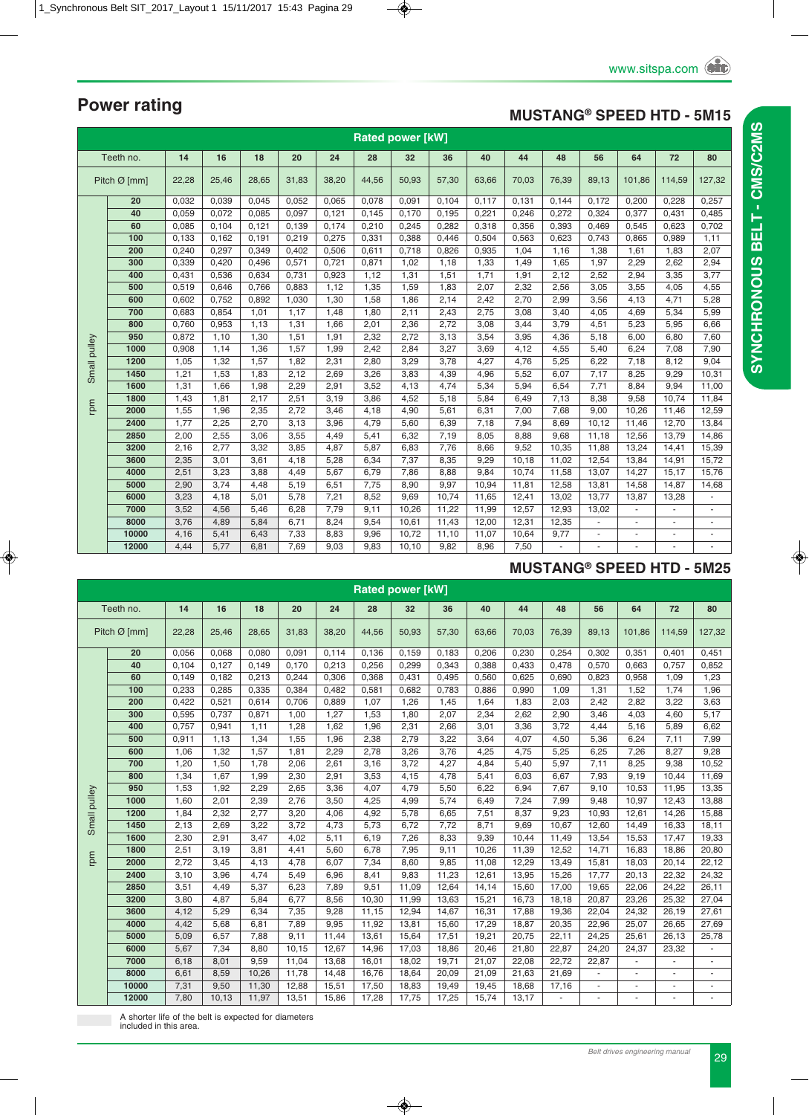### **MUSTANG® SPEED HTD - 5M15**

|              | <b>Rated power [kW]</b><br>Teeth no.<br>16<br>18<br>28<br>40<br>48<br>56<br>64<br>72<br>14<br>20<br>24<br>32<br>36<br>44<br>80 |       |       |       |       |       |       |       |       |       |       |                |                          |                          |                |                          |
|--------------|--------------------------------------------------------------------------------------------------------------------------------|-------|-------|-------|-------|-------|-------|-------|-------|-------|-------|----------------|--------------------------|--------------------------|----------------|--------------------------|
|              | Pitch $Ø$ [mm]                                                                                                                 |       |       |       |       |       |       |       |       |       |       |                |                          |                          |                |                          |
|              |                                                                                                                                | 22,28 | 25,46 | 28,65 | 31,83 | 38,20 | 44,56 | 50,93 | 57,30 | 63,66 | 70,03 | 76,39          | 89,13                    | 101,86                   | 114,59         | 127,32                   |
|              | 20                                                                                                                             | 0,032 | 0,039 | 0,045 | 0,052 | 0,065 | 0,078 | 0,091 | 0,104 | 0,117 | 0,131 | 0,144          | 0,172                    | 0,200                    | 0,228          | 0,257                    |
|              | 40                                                                                                                             | 0.059 | 0,072 | 0,085 | 0,097 | 0.121 | 0.145 | 0.170 | 0,195 | 0,221 | 0,246 | 0,272          | 0,324                    | 0.377                    | 0,431          | 0,485                    |
|              | 60                                                                                                                             | 0,085 | 0.104 | 0,121 | 0,139 | 0,174 | 0,210 | 0,245 | 0,282 | 0,318 | 0,356 | 0,393          | 0,469                    | 0,545                    | 0.623          | 0,702                    |
|              | 100                                                                                                                            | 0,133 | 0,162 | 0,191 | 0,219 | 0,275 | 0,331 | 0,388 | 0,446 | 0,504 | 0,563 | 0,623          | 0,743                    | 0,865                    | 0,989          | 1,11                     |
|              | 200                                                                                                                            | 0,240 | 0,297 | 0,349 | 0,402 | 0,506 | 0,611 | 0,718 | 0,826 | 0,935 | 1,04  | 1,16           | 1,38                     | 1,61                     | 1,83           | 2,07                     |
|              | 300                                                                                                                            | 0,339 | 0,420 | 0,496 | 0,571 | 0,721 | 0,871 | 1,02  | 1,18  | 1,33  | 1,49  | 1,65           | 1,97                     | 2,29                     | 2,62           | 2,94                     |
|              | 400                                                                                                                            | 0,431 | 0,536 | 0,634 | 0,731 | 0,923 | 1,12  | 1,31  | 1,51  | 1,71  | 1,91  | 2,12           | 2,52                     | 2,94                     | 3,35           | 3,77                     |
|              | 500                                                                                                                            | 0,519 | 0,646 | 0,766 | 0,883 | 1,12  | 1,35  | 1,59  | 1,83  | 2,07  | 2,32  | 2,56           | 3,05                     | 3,55                     | 4,05           | 4,55                     |
|              | 600                                                                                                                            | 0,602 | 0,752 | 0,892 | 1,030 | 1,30  | 1,58  | 1,86  | 2,14  | 2,42  | 2,70  | 2,99           | 3,56                     | 4,13                     | 4,71           | 5,28                     |
|              | 700                                                                                                                            | 0,683 | 0,854 | 1,01  | 1,17  | 1,48  | 1,80  | 2,11  | 2,43  | 2,75  | 3,08  | 3,40           | 4,05                     | 4,69                     | 5,34           | 5,99                     |
|              | 800                                                                                                                            | 0,760 | 0,953 | 1,13  | 1,31  | 1,66  | 2,01  | 2,36  | 2,72  | 3,08  | 3,44  | 3,79           | 4,51                     | 5,23                     | 5,95           | 6,66                     |
|              | 950                                                                                                                            | 0,872 | 1,10  | 1,30  | 1,51  | 1,91  | 2,32  | 2,72  | 3,13  | 3,54  | 3,95  | 4,36           | 5,18                     | 6,00                     | 6,80           | 7,60                     |
| Small pulley | 1000                                                                                                                           | 0,908 | 1,14  | 1,36  | 1,57  | 1,99  | 2,42  | 2,84  | 3,27  | 3,69  | 4,12  | 4,55           | 5,40                     | 6,24                     | 7,08           | 7,90                     |
|              | 1200                                                                                                                           | 1,05  | 1,32  | 1,57  | 1,82  | 2,31  | 2,80  | 3,29  | 3,78  | 4,27  | 4,76  | 5,25           | 6,22                     | 7,18                     | 8,12           | 9,04                     |
|              | 1450                                                                                                                           | 1,21  | 1,53  | 1,83  | 2,12  | 2,69  | 3,26  | 3,83  | 4,39  | 4,96  | 5,52  | 6,07           | 7,17                     | 8,25                     | 9,29           | 10,31                    |
|              | 1600                                                                                                                           | 1,31  | 1,66  | 1,98  | 2,29  | 2,91  | 3,52  | 4,13  | 4,74  | 5,34  | 5,94  | 6,54           | 7,71                     | 8,84                     | 9,94           | 11,00                    |
|              | 1800                                                                                                                           | 1,43  | 1,81  | 2,17  | 2,51  | 3,19  | 3,86  | 4,52  | 5,18  | 5,84  | 6,49  | 7,13           | 8,38                     | 9,58                     | 10.74          | 11,84                    |
| rpm          | 2000                                                                                                                           | 1,55  | 1,96  | 2,35  | 2,72  | 3,46  | 4,18  | 4,90  | 5,61  | 6,31  | 7,00  | 7,68           | 9,00                     | 10,26                    | 11,46          | 12,59                    |
|              | 2400                                                                                                                           | 1,77  | 2,25  | 2,70  | 3,13  | 3,96  | 4,79  | 5,60  | 6,39  | 7,18  | 7,94  | 8,69           | 10,12                    | 11,46                    | 12,70          | 13,84                    |
|              | 2850                                                                                                                           | 2,00  | 2,55  | 3,06  | 3,55  | 4,49  | 5,41  | 6,32  | 7,19  | 8,05  | 8,88  | 9,68           | 11,18                    | 12,56                    | 13,79          | 14,86                    |
|              | 3200                                                                                                                           | 2,16  | 2,77  | 3,32  | 3,85  | 4,87  | 5,87  | 6,83  | 7,76  | 8,66  | 9,52  | 10,35          | 11,88                    | 13,24                    | 14,41          | 15,39                    |
|              | 3600                                                                                                                           | 2,35  | 3,01  | 3,61  | 4,18  | 5,28  | 6,34  | 7,37  | 8,35  | 9,29  | 10,18 | 11,02          | 12,54                    | 13,84                    | 14,91          | 15,72                    |
|              | 4000                                                                                                                           | 2,51  | 3,23  | 3,88  | 4,49  | 5,67  | 6,79  | 7,86  | 8,88  | 9,84  | 10,74 | 11,58          | 13,07                    | 14,27                    | 15,17          | 15,76                    |
|              | 5000                                                                                                                           | 2,90  | 3,74  | 4,48  | 5,19  | 6,51  | 7,75  | 8,90  | 9,97  | 10,94 | 11,81 | 12,58          | 13,81                    | 14,58                    | 14,87          | 14,68                    |
|              | 6000                                                                                                                           | 3,23  | 4,18  | 5,01  | 5,78  | 7,21  | 8,52  | 9,69  | 10,74 | 11,65 | 12,41 | 13,02          | 13,77                    | 13,87                    | 13,28          | $\blacksquare$           |
|              | 7000                                                                                                                           | 3,52  | 4,56  | 5,46  | 6,28  | 7,79  | 9,11  | 10,26 | 11,22 | 11,99 | 12,57 | 12,93          | 13,02                    | $\overline{\phantom{a}}$ |                | $\overline{\phantom{a}}$ |
|              | 8000                                                                                                                           | 3,76  | 4,89  | 5,84  | 6,71  | 8,24  | 9,54  | 10,61 | 11,43 | 12,00 | 12,31 | 12,35          | $\overline{\phantom{a}}$ | ٠                        |                | $\overline{\phantom{a}}$ |
|              | 10000                                                                                                                          | 4,16  | 5,41  | 6,43  | 7,33  | 8,83  | 9,96  | 10,72 | 11,10 | 11,07 | 10,64 | 9,77           | $\omega$                 |                          |                | ä,                       |
|              | 12000                                                                                                                          | 4.44  | 5.77  | 6.81  | 7.69  | 9.03  | 9.83  | 10.10 | 9.82  | 8.96  | 7.50  | $\blacksquare$ | ä,                       | $\sim$                   | $\blacksquare$ | ä,                       |

### **MUSTANG® SPEED HTD - 5M25**

|              | <b>Rated power [kW]</b><br>Teeth no.<br>14<br>16<br>18<br>40<br>44<br>48<br>56<br>64<br>72<br>80<br>20<br>24<br>28<br>32<br>36 |       |       |       |       |       |       |       |       |       |       |       |       |                |        |        |
|--------------|--------------------------------------------------------------------------------------------------------------------------------|-------|-------|-------|-------|-------|-------|-------|-------|-------|-------|-------|-------|----------------|--------|--------|
|              |                                                                                                                                |       |       |       |       |       |       |       |       |       |       |       |       |                |        |        |
|              | Pitch $\varnothing$ [mm]                                                                                                       | 22,28 | 25,46 | 28,65 | 31,83 | 38,20 | 44,56 | 50,93 | 57,30 | 63,66 | 70,03 | 76,39 | 89,13 | 101.86         | 114,59 | 127,32 |
|              | 20                                                                                                                             | 0,056 | 0,068 | 0,080 | 0,091 | 0,114 | 0,136 | 0,159 | 0,183 | 0,206 | 0,230 | 0,254 | 0,302 | 0,351          | 0,401  | 0,451  |
|              | 40                                                                                                                             | 0,104 | 0,127 | 0,149 | 0,170 | 0,213 | 0,256 | 0,299 | 0,343 | 0,388 | 0,433 | 0,478 | 0,570 | 0,663          | 0,757  | 0,852  |
|              | 60                                                                                                                             | 0,149 | 0,182 | 0,213 | 0,244 | 0,306 | 0,368 | 0,431 | 0,495 | 0,560 | 0,625 | 0,690 | 0,823 | 0,958          | 1,09   | 1,23   |
|              | 100                                                                                                                            | 0,233 | 0,285 | 0,335 | 0,384 | 0,482 | 0,581 | 0,682 | 0,783 | 0,886 | 0,990 | 1,09  | 1,31  | 1,52           | 1,74   | 1,96   |
|              | 200                                                                                                                            | 0,422 | 0,521 | 0,614 | 0,706 | 0,889 | 1,07  | 1,26  | 1,45  | 1,64  | 1,83  | 2,03  | 2,42  | 2,82           | 3,22   | 3,63   |
|              | 300                                                                                                                            | 0,595 | 0,737 | 0,871 | 1,00  | 1,27  | 1,53  | 1,80  | 2,07  | 2,34  | 2,62  | 2,90  | 3,46  | 4,03           | 4,60   | 5,17   |
|              | 400                                                                                                                            | 0.757 | 0,941 | 1,11  | 1,28  | 1,62  | 1,96  | 2,31  | 2,66  | 3,01  | 3,36  | 3,72  | 4,44  | 5,16           | 5,89   | 6,62   |
|              | 500                                                                                                                            | 0,911 | 1,13  | 1,34  | 1,55  | 1,96  | 2,38  | 2,79  | 3,22  | 3,64  | 4,07  | 4,50  | 5,36  | 6,24           | 7,11   | 7,99   |
|              | 600                                                                                                                            | 1,06  | 1,32  | 1,57  | 1,81  | 2,29  | 2,78  | 3,26  | 3,76  | 4,25  | 4,75  | 5,25  | 6,25  | 7,26           | 8,27   | 9,28   |
|              | 700                                                                                                                            | 1,20  | 1,50  | 1,78  | 2,06  | 2,61  | 3,16  | 3,72  | 4,27  | 4,84  | 5,40  | 5,97  | 7,11  | 8,25           | 9,38   | 10,52  |
|              | 800                                                                                                                            | 1,34  | 1,67  | 1,99  | 2,30  | 2,91  | 3,53  | 4,15  | 4,78  | 5,41  | 6,03  | 6,67  | 7,93  | 9,19           | 10,44  | 11,69  |
|              | 950                                                                                                                            | 1,53  | 1,92  | 2,29  | 2,65  | 3,36  | 4,07  | 4,79  | 5,50  | 6,22  | 6,94  | 7,67  | 9,10  | 10,53          | 11,95  | 13,35  |
|              | 1000                                                                                                                           | 1,60  | 2,01  | 2,39  | 2,76  | 3,50  | 4,25  | 4,99  | 5,74  | 6,49  | 7,24  | 7,99  | 9,48  | 10,97          | 12,43  | 13,88  |
| Small pulley | 1200                                                                                                                           | 1,84  | 2,32  | 2,77  | 3,20  | 4,06  | 4,92  | 5,78  | 6,65  | 7,51  | 8,37  | 9,23  | 10,93 | 12,61          | 14,26  | 15,88  |
|              | 1450                                                                                                                           | 2,13  | 2,69  | 3,22  | 3,72  | 4,73  | 5,73  | 6,72  | 7,72  | 8,71  | 9,69  | 10,67 | 12,60 | 14,49          | 16,33  | 18,11  |
|              | 1600                                                                                                                           | 2,30  | 2,91  | 3,47  | 4,02  | 5,11  | 6,19  | 7,26  | 8,33  | 9,39  | 10,44 | 11,49 | 13,54 | 15,53          | 17,47  | 19,33  |
|              | 1800                                                                                                                           | 2,51  | 3,19  | 3,81  | 4,41  | 5,60  | 6,78  | 7,95  | 9,11  | 10,26 | 11,39 | 12,52 | 14,71 | 16,83          | 18,86  | 20,80  |
| rpm          | 2000                                                                                                                           | 2,72  | 3,45  | 4,13  | 4,78  | 6,07  | 7,34  | 8,60  | 9,85  | 11,08 | 12,29 | 13,49 | 15,81 | 18,03          | 20,14  | 22,12  |
|              | 2400                                                                                                                           | 3,10  | 3,96  | 4,74  | 5,49  | 6,96  | 8,41  | 9,83  | 11,23 | 12,61 | 13,95 | 15,26 | 17,77 | 20,13          | 22,32  | 24,32  |
|              | 2850                                                                                                                           | 3,51  | 4,49  | 5,37  | 6,23  | 7,89  | 9,51  | 11,09 | 12,64 | 14,14 | 15,60 | 17,00 | 19,65 | 22,06          | 24,22  | 26,11  |
|              | 3200                                                                                                                           | 3,80  | 4,87  | 5,84  | 6,77  | 8,56  | 10,30 | 11,99 | 13,63 | 15,21 | 16,73 | 18,18 | 20,87 | 23,26          | 25,32  | 27,04  |
|              | 3600                                                                                                                           | 4,12  | 5,29  | 6,34  | 7,35  | 9,28  | 11,15 | 12,94 | 14,67 | 16,31 | 17,88 | 19,36 | 22,04 | 24,32          | 26,19  | 27,61  |
|              | 4000                                                                                                                           | 4,42  | 5,68  | 6,81  | 7,89  | 9,95  | 11,92 | 13,81 | 15,60 | 17,29 | 18,87 | 20,35 | 22,96 | 25,07          | 26,65  | 27,69  |
|              | 5000                                                                                                                           | 5,09  | 6,57  | 7,88  | 9,11  | 11,44 | 13,61 | 15,64 | 17,51 | 19,21 | 20,75 | 22,11 | 24,25 | 25,61          | 26,13  | 25,78  |
|              | 6000                                                                                                                           | 5,67  | 7,34  | 8,80  | 10,15 | 12,67 | 14,96 | 17,03 | 18,86 | 20,46 | 21,80 | 22,87 | 24,20 | 24,37          | 23,32  |        |
|              | 7000                                                                                                                           | 6,18  | 8,01  | 9,59  | 11,04 | 13,68 | 16,01 | 18,02 | 19,71 | 21,07 | 22,08 | 22,72 | 22,87 | ä,             | ٠      |        |
|              | 8000                                                                                                                           | 6,61  | 8,59  | 10,26 | 11,78 | 14,48 | 16,76 | 18,64 | 20,09 | 21,09 | 21,63 | 21,69 |       | $\overline{a}$ | ÷.     |        |
|              | 10000                                                                                                                          | 7,31  | 9,50  | 11,30 | 12,88 | 15,51 | 17,50 | 18,83 | 19,49 | 19,45 | 18,68 | 17,16 | ÷,    | $\overline{a}$ | $\sim$ |        |
|              | 12000                                                                                                                          | 7,80  | 10,13 | 11,97 | 13,51 | 15,86 | 17,28 | 17,75 | 17,25 | 15,74 | 13,17 |       |       |                |        |        |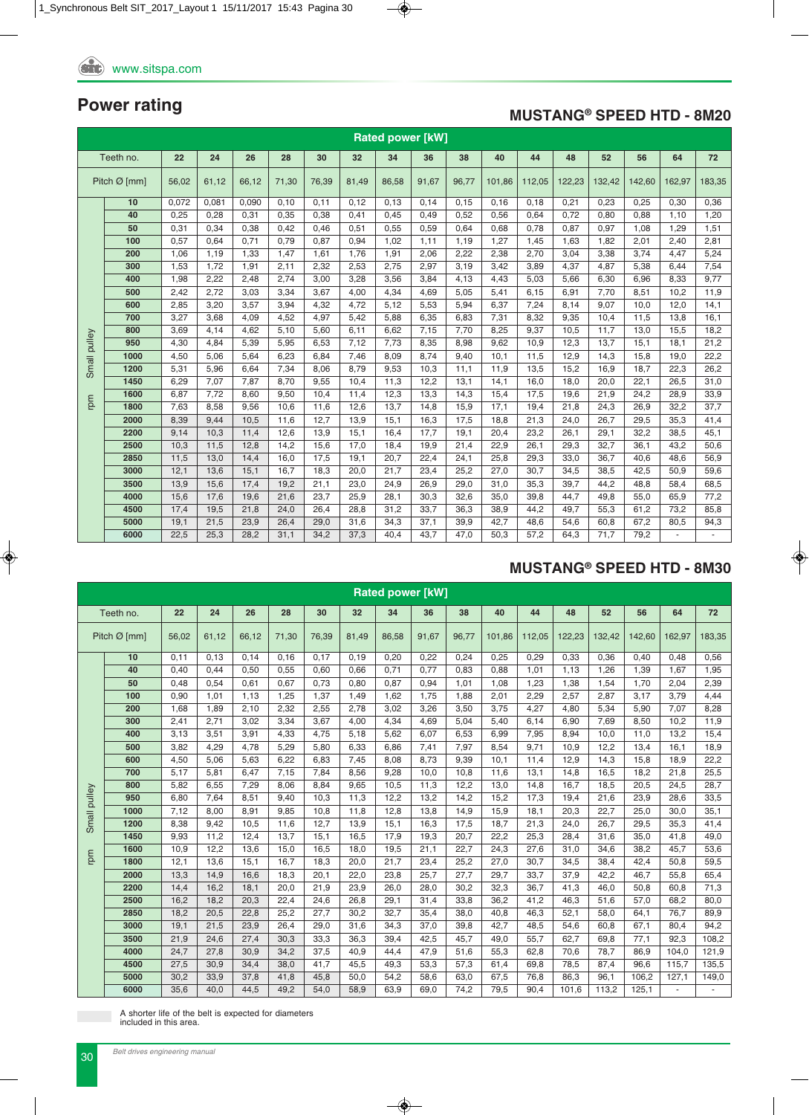### **MUSTANG® SPEED HTD - 8M20**

|              | <b>Rated power [kW]</b><br>Teeth no.<br>22<br>24<br>26<br>44<br>48<br>28<br>30<br>32<br>34<br>38<br>40<br>52<br>56<br>64<br>72<br>36 |       |       |       |       |       |       |       |       |       |        |        |        |        |        |        |        |
|--------------|--------------------------------------------------------------------------------------------------------------------------------------|-------|-------|-------|-------|-------|-------|-------|-------|-------|--------|--------|--------|--------|--------|--------|--------|
|              |                                                                                                                                      |       |       |       |       |       |       |       |       |       |        |        |        |        |        |        |        |
|              | Pitch $Ø$ [mm]                                                                                                                       | 56,02 | 61,12 | 66,12 | 71,30 | 76,39 | 81,49 | 86,58 | 91,67 | 96.77 | 101.86 | 112,05 | 122,23 | 132,42 | 142,60 | 162,97 | 183,35 |
|              | 10                                                                                                                                   | 0,072 | 0.081 | 0.090 | 0.10  | 0.11  | 0.12  | 0.13  | 0,14  | 0, 15 | 0.16   | 0.18   | 0,21   | 0,23   | 0,25   | 0,30   | 0,36   |
|              | 40                                                                                                                                   | 0,25  | 0,28  | 0,31  | 0,35  | 0,38  | 0,41  | 0,45  | 0,49  | 0,52  | 0,56   | 0,64   | 0,72   | 0,80   | 0,88   | 1,10   | 1,20   |
|              | 50                                                                                                                                   | 0,31  | 0,34  | 0,38  | 0,42  | 0,46  | 0,51  | 0,55  | 0,59  | 0,64  | 0,68   | 0,78   | 0,87   | 0,97   | 1,08   | 1,29   | 1,51   |
|              | 100                                                                                                                                  | 0,57  | 0.64  | 0,71  | 0.79  | 0.87  | 0,94  | 1,02  | 1,11  | 1,19  | 1,27   | 1,45   | 1,63   | 1,82   | 2,01   | 2,40   | 2,81   |
|              | 200                                                                                                                                  | 1,06  | 1,19  | 1,33  | 1,47  | 1,61  | 1,76  | 1,91  | 2,06  | 2,22  | 2,38   | 2,70   | 3,04   | 3,38   | 3,74   | 4,47   | 5,24   |
|              | 300                                                                                                                                  | 1,53  | 1,72  | 1,91  | 2,11  | 2,32  | 2,53  | 2,75  | 2,97  | 3,19  | 3,42   | 3,89   | 4,37   | 4,87   | 5,38   | 6,44   | 7,54   |
|              | 400                                                                                                                                  | 1,98  | 2,22  | 2,48  | 2,74  | 3,00  | 3,28  | 3,56  | 3,84  | 4,13  | 4,43   | 5,03   | 5,66   | 6,30   | 6,96   | 8,33   | 9,77   |
|              | 500                                                                                                                                  | 2,42  | 2,72  | 3,03  | 3,34  | 3.67  | 4,00  | 4,34  | 4,69  | 5,05  | 5,41   | 6,15   | 6,91   | 7,70   | 8,51   | 10,2   | 11,9   |
|              | 600                                                                                                                                  | 2,85  | 3,20  | 3.57  | 3,94  | 4.32  | 4.72  | 5,12  | 5,53  | 5,94  | 6,37   | 7,24   | 8,14   | 9,07   | 10.0   | 12,0   | 14,1   |
|              | 700                                                                                                                                  | 3,27  | 3.68  | 4.09  | 4.52  | 4.97  | 5,42  | 5,88  | 6,35  | 6,83  | 7,31   | 8,32   | 9,35   | 10,4   | 11,5   | 13.8   | 16.1   |
|              | 800                                                                                                                                  | 3,69  | 4.14  | 4.62  | 5,10  | 5.60  | 6, 11 | 6,62  | 7,15  | 7,70  | 8,25   | 9,37   | 10,5   | 11,7   | 13,0   | 15,5   | 18,2   |
| Small pulley | 950                                                                                                                                  | 4,30  | 4,84  | 5,39  | 5,95  | 6,53  | 7,12  | 7,73  | 8,35  | 8,98  | 9,62   | 10,9   | 12,3   | 13,7   | 15,1   | 18,1   | 21,2   |
|              | 1000                                                                                                                                 | 4,50  | 5,06  | 5,64  | 6,23  | 6.84  | 7.46  | 8.09  | 8.74  | 9,40  | 10,1   | 11.5   | 12,9   | 14.3   | 15,8   | 19.0   | 22,2   |
|              | 1200                                                                                                                                 | 5,31  | 5,96  | 6,64  | 7,34  | 8,06  | 8,79  | 9,53  | 10,3  | 11,1  | 11,9   | 13,5   | 15,2   | 16,9   | 18,7   | 22,3   | 26,2   |
|              | 1450                                                                                                                                 | 6,29  | 7,07  | 7,87  | 8,70  | 9,55  | 10,4  | 11,3  | 12,2  | 13,1  | 14,1   | 16,0   | 18,0   | 20,0   | 22,1   | 26,5   | 31,0   |
| rpm          | 1600                                                                                                                                 | 6,87  | 7,72  | 8,60  | 9,50  | 10,4  | 11,4  | 12,3  | 13,3  | 14,3  | 15,4   | 17,5   | 19,6   | 21,9   | 24,2   | 28,9   | 33,9   |
|              | 1800                                                                                                                                 | 7,63  | 8,58  | 9,56  | 10,6  | 11,6  | 12,6  | 13,7  | 14,8  | 15,9  | 17,1   | 19,4   | 21,8   | 24,3   | 26,9   | 32,2   | 37,7   |
|              | 2000                                                                                                                                 | 8,39  | 9,44  | 10,5  | 11,6  | 12,7  | 13,9  | 15,1  | 16,3  | 17,5  | 18,8   | 21,3   | 24,0   | 26,7   | 29,5   | 35,3   | 41,4   |
|              | 2200                                                                                                                                 | 9,14  | 10,3  | 11,4  | 12,6  | 13,9  | 15,1  | 16,4  | 17,7  | 19,1  | 20,4   | 23,2   | 26,1   | 29,1   | 32,2   | 38,5   | 45,1   |
|              | 2500                                                                                                                                 | 10,3  | 11,5  | 12,8  | 14.2  | 15,6  | 17,0  | 18,4  | 19,9  | 21,4  | 22,9   | 26,1   | 29,3   | 32,7   | 36,1   | 43,2   | 50,6   |
|              | 2850                                                                                                                                 | 11,5  | 13,0  | 14,4  | 16,0  | 17,5  | 19,1  | 20,7  | 22,4  | 24,1  | 25,8   | 29,3   | 33,0   | 36,7   | 40,6   | 48,6   | 56,9   |
|              | 3000                                                                                                                                 | 12,1  | 13,6  | 15,1  | 16,7  | 18,3  | 20,0  | 21,7  | 23,4  | 25,2  | 27,0   | 30,7   | 34,5   | 38,5   | 42,5   | 50,9   | 59,6   |
|              | 3500                                                                                                                                 | 13,9  | 15,6  | 17,4  | 19,2  | 21,1  | 23,0  | 24,9  | 26,9  | 29,0  | 31,0   | 35,3   | 39,7   | 44,2   | 48,8   | 58,4   | 68,5   |
|              | 4000                                                                                                                                 | 15,6  | 17,6  | 19,6  | 21,6  | 23,7  | 25,9  | 28,1  | 30,3  | 32,6  | 35,0   | 39,8   | 44,7   | 49,8   | 55,0   | 65,9   | 77,2   |
|              | 4500                                                                                                                                 | 17,4  | 19,5  | 21,8  | 24,0  | 26.4  | 28.8  | 31,2  | 33,7  | 36,3  | 38,9   | 44,2   | 49,7   | 55,3   | 61,2   | 73,2   | 85,8   |
|              | 5000                                                                                                                                 | 19,1  | 21,5  | 23,9  | 26,4  | 29,0  | 31,6  | 34,3  | 37,1  | 39,9  | 42,7   | 48,6   | 54,6   | 60,8   | 67,2   | 80,5   | 94,3   |
|              | 6000                                                                                                                                 | 22,5  | 25,3  | 28,2  | 31,1  | 34,2  | 37,3  | 40,4  | 43,7  | 47,0  | 50,3   | 57,2   | 64,3   | 71,7   | 79,2   |        |        |

### **MUSTANG® SPEED HTD - 8M30**

|              | <b>Rated power [kW]</b><br>Teeth no.<br>22<br>24<br>26<br>38<br>40<br>44<br>48<br>52<br>28<br>30<br>32<br>34<br>36<br>56<br>64<br>72 |       |       |       |       |       |       |       |       |       |        |        |        |        |        |        |        |
|--------------|--------------------------------------------------------------------------------------------------------------------------------------|-------|-------|-------|-------|-------|-------|-------|-------|-------|--------|--------|--------|--------|--------|--------|--------|
|              |                                                                                                                                      |       |       |       |       |       |       |       |       |       |        |        |        |        |        |        |        |
|              | Pitch $Ø$ [mm]                                                                                                                       | 56,02 | 61,12 | 66,12 | 71,30 | 76,39 | 81,49 | 86,58 | 91,67 | 96.77 | 101.86 | 112,05 | 122,23 | 132,42 | 142,60 | 162,97 | 183,35 |
|              | 10                                                                                                                                   | 0,11  | 0,13  | 0,14  | 0,16  | 0,17  | 0, 19 | 0,20  | 0,22  | 0,24  | 0,25   | 0,29   | 0,33   | 0,36   | 0,40   | 0,48   | 0,56   |
|              | 40                                                                                                                                   | 0,40  | 0,44  | 0,50  | 0,55  | 0,60  | 0,66  | 0,71  | 0,77  | 0,83  | 0,88   | 1,01   | 1,13   | 1,26   | 1,39   | 1,67   | 1,95   |
|              | 50                                                                                                                                   | 0,48  | 0,54  | 0.61  | 0,67  | 0.73  | 0,80  | 0,87  | 0,94  | 1,01  | 1,08   | 1,23   | 1,38   | 1,54   | 1,70   | 2,04   | 2,39   |
|              | 100                                                                                                                                  | 0,90  | 1.01  | 1,13  | 1,25  | 1,37  | 1,49  | 1,62  | 1,75  | 1,88  | 2,01   | 2,29   | 2,57   | 2,87   | 3,17   | 3,79   | 4,44   |
|              | 200                                                                                                                                  | 1,68  | 1,89  | 2,10  | 2,32  | 2,55  | 2,78  | 3,02  | 3,26  | 3,50  | 3,75   | 4,27   | 4,80   | 5,34   | 5,90   | 7,07   | 8,28   |
|              | 300                                                                                                                                  | 2,41  | 2,71  | 3,02  | 3,34  | 3,67  | 4,00  | 4,34  | 4,69  | 5,04  | 5,40   | 6,14   | 6,90   | 7,69   | 8,50   | 10,2   | 11,9   |
|              | 400                                                                                                                                  | 3,13  | 3,51  | 3,91  | 4,33  | 4,75  | 5,18  | 5,62  | 6,07  | 6,53  | 6,99   | 7,95   | 8,94   | 10,0   | 11,0   | 13,2   | 15,4   |
|              | 500                                                                                                                                  | 3,82  | 4,29  | 4,78  | 5,29  | 5,80  | 6,33  | 6,86  | 7,41  | 7,97  | 8,54   | 9,71   | 10,9   | 12,2   | 13,4   | 16,1   | 18,9   |
|              | 600                                                                                                                                  | 4,50  | 5,06  | 5,63  | 6,22  | 6,83  | 7,45  | 8,08  | 8,73  | 9,39  | 10,1   | 11,4   | 12,9   | 14,3   | 15,8   | 18,9   | 22,2   |
|              | 700                                                                                                                                  | 5,17  | 5,81  | 6,47  | 7,15  | 7,84  | 8,56  | 9,28  | 10,0  | 10,8  | 11,6   | 13,1   | 14,8   | 16,5   | 18,2   | 21,8   | 25,5   |
|              | 800                                                                                                                                  | 5,82  | 6,55  | 7,29  | 8,06  | 8,84  | 9,65  | 10,5  | 11,3  | 12,2  | 13,0   | 14,8   | 16,7   | 18,5   | 20,5   | 24,5   | 28,7   |
|              | 950                                                                                                                                  | 6,80  | 7.64  | 8,51  | 9.40  | 10.3  | 11,3  | 12,2  | 13,2  | 14,2  | 15,2   | 17,3   | 19,4   | 21,6   | 23,9   | 28,6   | 33,5   |
| Small pulley | 1000                                                                                                                                 | 7,12  | 8,00  | 8,91  | 9,85  | 10,8  | 11,8  | 12,8  | 13,8  | 14,9  | 15,9   | 18,1   | 20,3   | 22,7   | 25,0   | 30,0   | 35,1   |
|              | 1200                                                                                                                                 | 8,38  | 9,42  | 10,5  | 11.6  | 12,7  | 13,9  | 15,1  | 16,3  | 17,5  | 18,7   | 21,3   | 24,0   | 26,7   | 29,5   | 35,3   | 41,4   |
|              | 1450                                                                                                                                 | 9,93  | 11.2  | 12,4  | 13.7  | 15,1  | 16,5  | 17,9  | 19,3  | 20,7  | 22,2   | 25,3   | 28,4   | 31,6   | 35,0   | 41.8   | 49,0   |
| rpm          | 1600                                                                                                                                 | 10,9  | 12,2  | 13,6  | 15,0  | 16,5  | 18,0  | 19,5  | 21,1  | 22,7  | 24,3   | 27,6   | 31,0   | 34,6   | 38,2   | 45,7   | 53,6   |
|              | 1800                                                                                                                                 | 12,1  | 13,6  | 15,1  | 16.7  | 18,3  | 20,0  | 21,7  | 23,4  | 25,2  | 27,0   | 30,7   | 34,5   | 38,4   | 42,4   | 50,8   | 59,5   |
|              | 2000                                                                                                                                 | 13,3  | 14,9  | 16,6  | 18,3  | 20,1  | 22,0  | 23,8  | 25,7  | 27,7  | 29,7   | 33,7   | 37,9   | 42,2   | 46,7   | 55,8   | 65,4   |
|              | 2200                                                                                                                                 | 14,4  | 16,2  | 18,1  | 20,0  | 21,9  | 23,9  | 26,0  | 28,0  | 30,2  | 32,3   | 36,7   | 41,3   | 46,0   | 50,8   | 60,8   | 71,3   |
|              | 2500                                                                                                                                 | 16,2  | 18,2  | 20,3  | 22,4  | 24,6  | 26,8  | 29,1  | 31,4  | 33,8  | 36,2   | 41,2   | 46,3   | 51,6   | 57,0   | 68,2   | 80,0   |
|              | 2850                                                                                                                                 | 18,2  | 20,5  | 22,8  | 25,2  | 27,7  | 30,2  | 32,7  | 35,4  | 38,0  | 40,8   | 46,3   | 52,1   | 58,0   | 64,1   | 76,7   | 89,9   |
|              | 3000                                                                                                                                 | 19,1  | 21,5  | 23,9  | 26,4  | 29,0  | 31,6  | 34,3  | 37,0  | 39,8  | 42,7   | 48,5   | 54,6   | 60,8   | 67,1   | 80.4   | 94,2   |
|              | 3500                                                                                                                                 | 21,9  | 24,6  | 27,4  | 30,3  | 33,3  | 36,3  | 39,4  | 42,5  | 45,7  | 49,0   | 55,7   | 62,7   | 69,8   | 77,1   | 92,3   | 108,2  |
|              | 4000                                                                                                                                 | 24,7  | 27,8  | 30,9  | 34,2  | 37,5  | 40,9  | 44,4  | 47,9  | 51,6  | 55,3   | 62,8   | 70,6   | 78,7   | 86,9   | 104,0  | 121,9  |
|              | 4500                                                                                                                                 | 27,5  | 30,9  | 34,4  | 38,0  | 41.7  | 45,5  | 49,3  | 53,3  | 57,3  | 61,4   | 69,8   | 78,5   | 87,4   | 96.6   | 115.7  | 135,5  |
|              | 5000                                                                                                                                 | 30,2  | 33,9  | 37,8  | 41,8  | 45,8  | 50,0  | 54,2  | 58,6  | 63,0  | 67,5   | 76,8   | 86,3   | 96,1   | 106,2  | 127,1  | 149,0  |
|              | 6000                                                                                                                                 | 35,6  | 40,0  | 44,5  | 49,2  | 54,0  | 58,9  | 63,9  | 69,0  | 74,2  | 79,5   | 90,4   | 101,6  | 113,2  | 125,1  |        |        |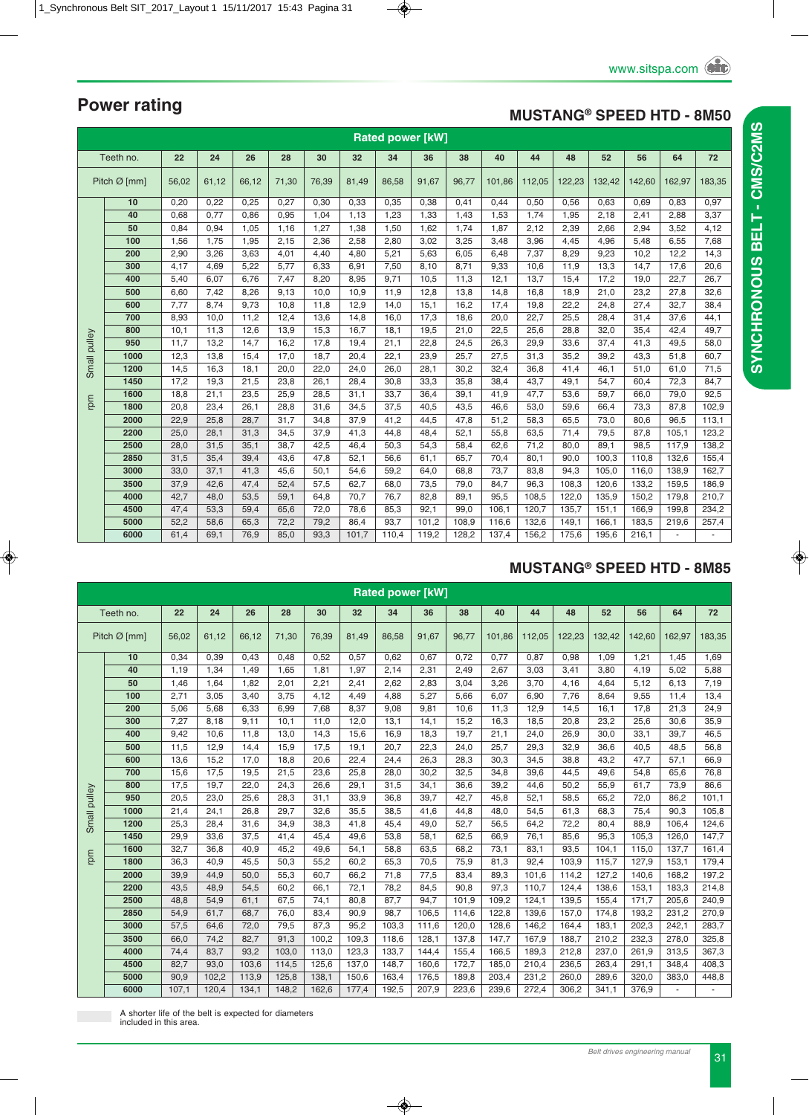### **MUSTANG® SPEED HTD - 8M50**

|              | <b>Rated power [kW]</b> |       |       |       |       |       |       |       |       |       |        |        |        |        |        |        |        |
|--------------|-------------------------|-------|-------|-------|-------|-------|-------|-------|-------|-------|--------|--------|--------|--------|--------|--------|--------|
|              | Teeth no.               | 22    | 24    | 26    | 28    | 30    | 32    | 34    | 36    | 38    | 40     | 44     | 48     | 52     | 56     | 64     | 72     |
|              | Pitch Ø [mm]            | 56,02 | 61,12 | 66,12 | 71,30 | 76,39 | 81,49 | 86,58 | 91,67 | 96,77 | 101,86 | 112,05 | 122,23 | 132,42 | 142,60 | 162,97 | 183,35 |
|              | 10                      | 0,20  | 0,22  | 0,25  | 0,27  | 0,30  | 0,33  | 0,35  | 0,38  | 0,41  | 0,44   | 0,50   | 0,56   | 0,63   | 0,69   | 0,83   | 0,97   |
|              | 40                      | 0,68  | 0,77  | 0,86  | 0,95  | 1,04  | 1,13  | 1,23  | 1,33  | 1,43  | 1,53   | 1,74   | 1,95   | 2,18   | 2,41   | 2,88   | 3,37   |
|              | 50                      | 0,84  | 0,94  | 1,05  | 1,16  | 1,27  | 1,38  | 1,50  | 1,62  | 1,74  | 1,87   | 2,12   | 2,39   | 2,66   | 2,94   | 3,52   | 4,12   |
|              | 100                     | 1,56  | 1,75  | 1,95  | 2,15  | 2,36  | 2,58  | 2,80  | 3,02  | 3,25  | 3,48   | 3,96   | 4,45   | 4,96   | 5,48   | 6,55   | 7,68   |
|              | 200                     | 2,90  | 3,26  | 3,63  | 4,01  | 4,40  | 4,80  | 5,21  | 5,63  | 6,05  | 6,48   | 7,37   | 8,29   | 9,23   | 10,2   | 12,2   | 14,3   |
|              | 300                     | 4,17  | 4,69  | 5,22  | 5,77  | 6,33  | 6,91  | 7,50  | 8,10  | 8,71  | 9,33   | 10,6   | 11,9   | 13,3   | 14,7   | 17,6   | 20,6   |
|              | 400                     | 5,40  | 6,07  | 6,76  | 7,47  | 8,20  | 8,95  | 9,71  | 10,5  | 11,3  | 12,1   | 13,7   | 15,4   | 17,2   | 19,0   | 22,7   | 26,7   |
|              | 500                     | 6,60  | 7,42  | 8,26  | 9,13  | 10.0  | 10,9  | 11,9  | 12,8  | 13,8  | 14,8   | 16,8   | 18,9   | 21,0   | 23,2   | 27,8   | 32,6   |
|              | 600                     | 7,77  | 8,74  | 9,73  | 10,8  | 11,8  | 12,9  | 14,0  | 15,1  | 16,2  | 17,4   | 19,8   | 22,2   | 24,8   | 27,4   | 32,7   | 38,4   |
|              | 700                     | 8,93  | 10,0  | 11,2  | 12,4  | 13,6  | 14,8  | 16,0  | 17,3  | 18,6  | 20,0   | 22,7   | 25,5   | 28,4   | 31,4   | 37,6   | 44,1   |
|              | 800                     | 10,1  | 11,3  | 12,6  | 13,9  | 15,3  | 16,7  | 18,1  | 19,5  | 21,0  | 22,5   | 25,6   | 28,8   | 32,0   | 35,4   | 42,4   | 49,7   |
| Small pulley | 950                     | 11,7  | 13,2  | 14,7  | 16,2  | 17,8  | 19,4  | 21,1  | 22,8  | 24,5  | 26,3   | 29,9   | 33,6   | 37,4   | 41,3   | 49,5   | 58,0   |
|              | 1000                    | 12,3  | 13,8  | 15,4  | 17,0  | 18,7  | 20,4  | 22,1  | 23,9  | 25,7  | 27,5   | 31,3   | 35,2   | 39,2   | 43,3   | 51,8   | 60,7   |
|              | 1200                    | 14,5  | 16,3  | 18,1  | 20,0  | 22,0  | 24,0  | 26,0  | 28,1  | 30,2  | 32,4   | 36,8   | 41,4   | 46,1   | 51,0   | 61,0   | 71,5   |
|              | 1450                    | 17,2  | 19,3  | 21,5  | 23,8  | 26,1  | 28,4  | 30.8  | 33,3  | 35,8  | 38,4   | 43,7   | 49,1   | 54,7   | 60,4   | 72,3   | 84,7   |
| rpm          | 1600                    | 18,8  | 21,1  | 23,5  | 25,9  | 28,5  | 31,1  | 33,7  | 36,4  | 39,1  | 41,9   | 47,7   | 53,6   | 59,7   | 66,0   | 79,0   | 92,5   |
|              | 1800                    | 20,8  | 23,4  | 26,1  | 28,8  | 31,6  | 34,5  | 37,5  | 40,5  | 43,5  | 46,6   | 53,0   | 59,6   | 66,4   | 73,3   | 87,8   | 102,9  |
|              | 2000                    | 22,9  | 25,8  | 28,7  | 31,7  | 34,8  | 37,9  | 41,2  | 44,5  | 47,8  | 51,2   | 58,3   | 65,5   | 73,0   | 80,6   | 96,5   | 113,1  |
|              | 2200                    | 25,0  | 28,1  | 31,3  | 34,5  | 37,9  | 41,3  | 44,8  | 48,4  | 52,1  | 55,8   | 63,5   | 71,4   | 79,5   | 87,8   | 105,1  | 123,2  |
|              | 2500                    | 28,0  | 31,5  | 35,1  | 38.7  | 42,5  | 46.4  | 50,3  | 54,3  | 58,4  | 62,6   | 71,2   | 80,0   | 89,1   | 98,5   | 117,9  | 138,2  |
|              | 2850                    | 31,5  | 35,4  | 39,4  | 43,6  | 47,8  | 52,1  | 56,6  | 61,1  | 65,7  | 70,4   | 80,1   | 90,0   | 100,3  | 110,8  | 132,6  | 155,4  |
|              | 3000                    | 33,0  | 37,1  | 41,3  | 45,6  | 50,1  | 54,6  | 59,2  | 64,0  | 68,8  | 73,7   | 83,8   | 94,3   | 105,0  | 116,0  | 138,9  | 162,7  |
|              | 3500                    | 37,9  | 42,6  | 47,4  | 52,4  | 57,5  | 62,7  | 68,0  | 73,5  | 79,0  | 84,7   | 96,3   | 108,3  | 120,6  | 133,2  | 159,5  | 186,9  |
|              | 4000                    | 42,7  | 48,0  | 53,5  | 59,1  | 64,8  | 70,7  | 76,7  | 82,8  | 89,1  | 95,5   | 108,5  | 122,0  | 135,9  | 150,2  | 179,8  | 210,7  |
|              | 4500                    | 47,4  | 53,3  | 59,4  | 65,6  | 72,0  | 78,6  | 85,3  | 92,1  | 99,0  | 106,1  | 120,7  | 135,7  | 151,1  | 166,9  | 199,8  | 234,2  |
|              | 5000                    | 52,2  | 58,6  | 65,3  | 72,2  | 79,2  | 86,4  | 93,7  | 101,2 | 108,9 | 116,6  | 132,6  | 149,1  | 166,1  | 183,5  | 219,6  | 257,4  |
|              | 6000                    | 61,4  | 69,1  | 76,9  | 85,0  | 93,3  | 101,7 | 110,4 | 119,2 | 128,2 | 137,4  | 156,2  | 175,6  | 195,6  | 216,1  |        |        |

### **MUSTANG® SPEED HTD - 8M85**

|              | <b>Rated power [kW]</b> |       |       |       |       |       |       |       |       |       |        |        |        |        |        |        |        |
|--------------|-------------------------|-------|-------|-------|-------|-------|-------|-------|-------|-------|--------|--------|--------|--------|--------|--------|--------|
|              | Teeth no.               | 22    | 24    | 26    | 28    | 30    | 32    | 34    | 36    | 38    | 40     | 44     | 48     | 52     | 56     | 64     | 72     |
|              | Pitch $Ø$ [mm]          | 56,02 | 61,12 | 66,12 | 71,30 | 76,39 | 81,49 | 86,58 | 91,67 | 96,77 | 101,86 | 112,05 | 122,23 | 132,42 | 142,60 | 162.97 | 183,35 |
|              | 10                      | 0,34  | 0.39  | 0.43  | 0.48  | 0,52  | 0.57  | 0.62  | 0.67  | 0,72  | 0,77   | 0,87   | 0,98   | 1,09   | 1,21   | 1.45   | 1,69   |
|              | 40                      | 1,19  | 1,34  | 1.49  | 1.65  | 1,81  | 1,97  | 2,14  | 2,31  | 2,49  | 2,67   | 3,03   | 3,41   | 3,80   | 4,19   | 5.02   | 5,88   |
|              | 50                      | 1,46  | 1,64  | 1,82  | 2,01  | 2,21  | 2,41  | 2,62  | 2,83  | 3,04  | 3,26   | 3,70   | 4,16   | 4,64   | 5,12   | 6,13   | 7,19   |
|              | 100                     | 2,71  | 3,05  | 3.40  | 3,75  | 4,12  | 4,49  | 4,88  | 5,27  | 5,66  | 6,07   | 6,90   | 7,76   | 8,64   | 9,55   | 11.4   | 13,4   |
|              | 200                     | 5,06  | 5,68  | 6,33  | 6,99  | 7,68  | 8,37  | 9,08  | 9,81  | 10,6  | 11,3   | 12,9   | 14,5   | 16,1   | 17,8   | 21,3   | 24,9   |
|              | 300                     | 7,27  | 8.18  | 9.11  | 10.1  | 11.0  | 12,0  | 13,1  | 14,1  | 15.2  | 16.3   | 18.5   | 20.8   | 23.2   | 25,6   | 30.6   | 35,9   |
|              | 400                     | 9,42  | 10,6  | 11,8  | 13,0  | 14,3  | 15,6  | 16,9  | 18,3  | 19,7  | 21,1   | 24,0   | 26,9   | 30,0   | 33,1   | 39,7   | 46,5   |
|              | 500                     | 11,5  | 12.9  | 14,4  | 15,9  | 17,5  | 19,1  | 20,7  | 22,3  | 24,0  | 25,7   | 29,3   | 32,9   | 36,6   | 40.5   | 48,5   | 56,8   |
|              | 600                     | 13,6  | 15,2  | 17,0  | 18,8  | 20,6  | 22,4  | 24,4  | 26,3  | 28,3  | 30,3   | 34,5   | 38,8   | 43,2   | 47,7   | 57,1   | 66,9   |
|              | 700                     | 15,6  | 17,5  | 19,5  | 21,5  | 23,6  | 25,8  | 28,0  | 30,2  | 32,5  | 34,8   | 39,6   | 44,5   | 49,6   | 54,8   | 65,6   | 76,8   |
|              | 800                     | 17,5  | 19,7  | 22,0  | 24,3  | 26,6  | 29,1  | 31,5  | 34,1  | 36,6  | 39,2   | 44,6   | 50,2   | 55,9   | 61.7   | 73,9   | 86,6   |
|              | 950                     | 20,5  | 23,0  | 25,6  | 28,3  | 31,1  | 33,9  | 36,8  | 39,7  | 42,7  | 45,8   | 52,1   | 58,5   | 65,2   | 72,0   | 86,2   | 101,1  |
|              | 1000                    | 21,4  | 24,1  | 26,8  | 29,7  | 32,6  | 35,5  | 38,5  | 41,6  | 44,8  | 48,0   | 54,5   | 61,3   | 68,3   | 75,4   | 90,3   | 105,8  |
| Small pulley | 1200                    | 25,3  | 28,4  | 31,6  | 34,9  | 38,3  | 41,8  | 45,4  | 49,0  | 52,7  | 56,5   | 64,2   | 72,2   | 80,4   | 88,9   | 106,4  | 124,6  |
|              | 1450                    | 29,9  | 33,6  | 37,5  | 41,4  | 45,4  | 49,6  | 53,8  | 58,1  | 62,5  | 66,9   | 76,1   | 85,6   | 95,3   | 105,3  | 126.0  | 147,7  |
|              | 1600                    | 32,7  | 36,8  | 40,9  | 45,2  | 49,6  | 54,1  | 58,8  | 63,5  | 68,2  | 73,1   | 83,1   | 93,5   | 104,1  | 115,0  | 137,7  | 161,4  |
| rpm          | 1800                    | 36,3  | 40,9  | 45,5  | 50,3  | 55,2  | 60,2  | 65,3  | 70,5  | 75,9  | 81,3   | 92,4   | 103,9  | 115,7  | 127,9  | 153,1  | 179,4  |
|              | 2000                    | 39,9  | 44,9  | 50,0  | 55,3  | 60,7  | 66,2  | 71,8  | 77,5  | 83,4  | 89,3   | 101,6  | 114,2  | 127,2  | 140,6  | 168,2  | 197,2  |
|              | 2200                    | 43,5  | 48,9  | 54,5  | 60.2  | 66,1  | 72,1  | 78,2  | 84,5  | 90.8  | 97,3   | 110.7  | 124,4  | 138,6  | 153,1  | 183,3  | 214,8  |
|              | 2500                    | 48,8  | 54,9  | 61,1  | 67,5  | 74,1  | 80,8  | 87,7  | 94,7  | 101,9 | 109,2  | 124,1  | 139,5  | 155,4  | 171,7  | 205,6  | 240,9  |
|              | 2850                    | 54,9  | 61,7  | 68,7  | 76,0  | 83,4  | 90.9  | 98,7  | 106,5 | 114,6 | 122,8  | 139,6  | 157,0  | 174.8  | 193.2  | 231.2  | 270,9  |
|              | 3000                    | 57,5  | 64,6  | 72,0  | 79,5  | 87,3  | 95,2  | 103,3 | 111,6 | 120,0 | 128,6  | 146,2  | 164,4  | 183,1  | 202,3  | 242,1  | 283,7  |
|              | 3500                    | 66,0  | 74,2  | 82,7  | 91,3  | 100,2 | 109,3 | 118,6 | 128,1 | 137,8 | 147,7  | 167,9  | 188.7  | 210,2  | 232,3  | 278,0  | 325,8  |
|              | 4000                    | 74,4  | 83,7  | 93,2  | 103,0 | 113,0 | 123,3 | 133,7 | 144,4 | 155,4 | 166,5  | 189,3  | 212,8  | 237,0  | 261,9  | 313,5  | 367,3  |
|              | 4500                    | 82,7  | 93,0  | 103,6 | 114,5 | 125,6 | 137,0 | 148,7 | 160,6 | 172,7 | 185,0  | 210,4  | 236,5  | 263,4  | 291,1  | 348,4  | 408,3  |
|              | 5000                    | 90,9  | 102,2 | 113,9 | 125,8 | 138,1 | 150,6 | 163,4 | 176,5 | 189,8 | 203,4  | 231,2  | 260,0  | 289,6  | 320,0  | 383,0  | 448,8  |
|              | 6000                    | 107,1 | 120,4 | 134,1 | 148,2 | 162,6 | 177,4 | 192,5 | 207,9 | 223,6 | 239,6  | 272,4  | 306,2  | 341,1  | 376,9  |        |        |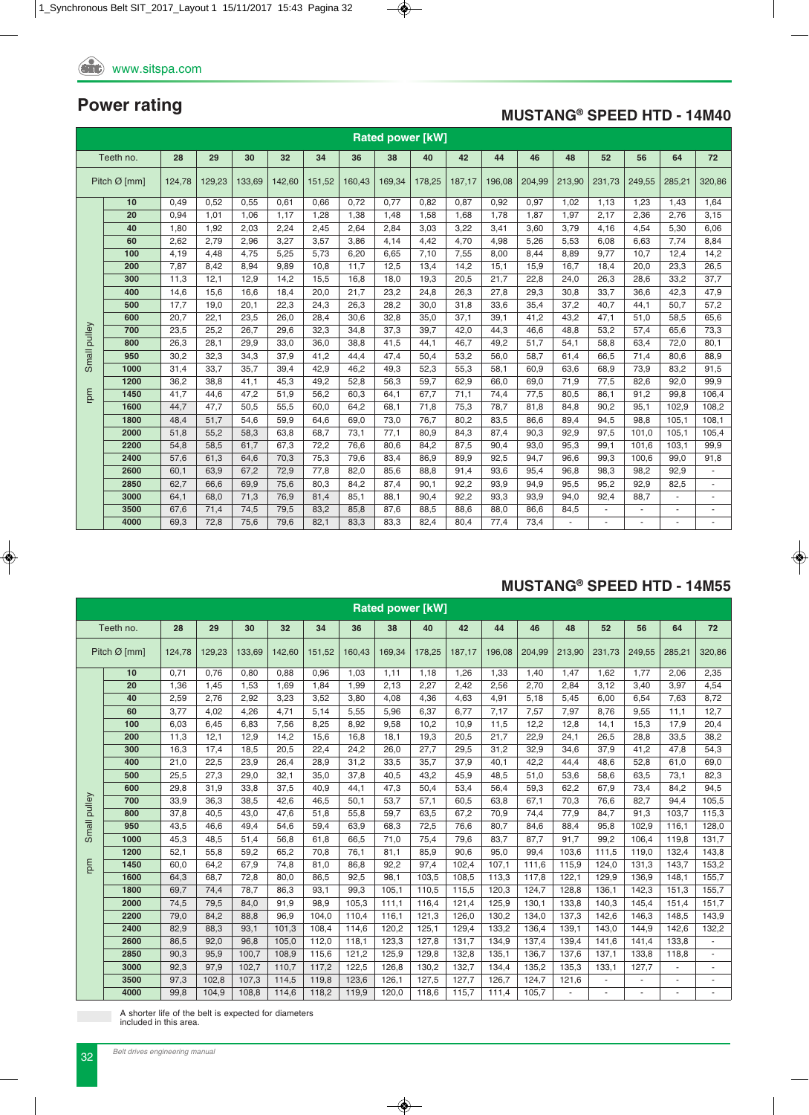### **MUSTANG® SPEED HTD - 14M40**

|        | <b>Rated power [kW]</b><br>Teeth no.<br>28<br>29<br>30<br>32<br>44<br>46<br>48<br>52<br>56<br>34<br>64<br>72 |        |        |        |        |        |        |        |        |        |        |        |        |        |        |        |        |
|--------|--------------------------------------------------------------------------------------------------------------|--------|--------|--------|--------|--------|--------|--------|--------|--------|--------|--------|--------|--------|--------|--------|--------|
|        |                                                                                                              |        |        |        |        |        | 36     | 38     | 40     | 42     |        |        |        |        |        |        |        |
|        | Pitch $\varnothing$ [mm]                                                                                     | 124.78 | 129,23 | 133,69 | 142,60 | 151.52 | 160.43 | 169.34 | 178.25 | 187.17 | 196.08 | 204.99 | 213,90 | 231.73 | 249,55 | 285,21 | 320,86 |
|        | 10                                                                                                           | 0.49   | 0.52   | 0.55   | 0.61   | 0.66   | 0.72   | 0.77   | 0.82   | 0.87   | 0.92   | 0,97   | 1,02   | 1,13   | 1,23   | 1,43   | 1.64   |
|        | 20                                                                                                           | 0.94   | 1.01   | 1.06   | 1.17   | 1.28   | 1.38   | 1,48   | 1,58   | 1.68   | 1.78   | 1,87   | 1,97   | 2,17   | 2.36   | 2.76   | 3.15   |
|        | 40                                                                                                           | 1,80   | 1,92   | 2,03   | 2,24   | 2,45   | 2,64   | 2,84   | 3,03   | 3,22   | 3,41   | 3,60   | 3,79   | 4,16   | 4,54   | 5,30   | 6,06   |
|        | 60                                                                                                           | 2,62   | 2,79   | 2,96   | 3,27   | 3.57   | 3.86   | 4,14   | 4,42   | 4,70   | 4,98   | 5,26   | 5,53   | 6,08   | 6,63   | 7,74   | 8.84   |
|        | 100                                                                                                          | 4,19   | 4,48   | 4,75   | 5,25   | 5,73   | 6,20   | 6,65   | 7,10   | 7,55   | 8,00   | 8,44   | 8,89   | 9,77   | 10.7   | 12,4   | 14,2   |
|        | 200                                                                                                          | 7,87   | 8.42   | 8.94   | 9.89   | 10.8   | 11.7   | 12,5   | 13,4   | 14,2   | 15,1   | 15,9   | 16,7   | 18,4   | 20.0   | 23.3   | 26,5   |
|        | 300                                                                                                          | 11,3   | 12,1   | 12,9   | 14,2   | 15,5   | 16,8   | 18,0   | 19,3   | 20,5   | 21,7   | 22,8   | 24,0   | 26,3   | 28,6   | 33,2   | 37,7   |
|        | 400                                                                                                          | 14,6   | 15,6   | 16,6   | 18,4   | 20,0   | 21.7   | 23,2   | 24,8   | 26,3   | 27,8   | 29,3   | 30,8   | 33,7   | 36,6   | 42,3   | 47,9   |
|        | 500                                                                                                          | 17,7   | 19,0   | 20,1   | 22,3   | 24,3   | 26,3   | 28,2   | 30,0   | 31,8   | 33,6   | 35,4   | 37,2   | 40,7   | 44,1   | 50,7   | 57,2   |
|        | 600                                                                                                          | 20,7   | 22,1   | 23,5   | 26.0   | 28,4   | 30,6   | 32,8   | 35,0   | 37,1   | 39,1   | 41,2   | 43.2   | 47,1   | 51,0   | 58,5   | 65,6   |
| pulley | 700                                                                                                          | 23,5   | 25,2   | 26,7   | 29,6   | 32,3   | 34,8   | 37,3   | 39,7   | 42,0   | 44,3   | 46,6   | 48,8   | 53,2   | 57,4   | 65,6   | 73,3   |
|        | 800                                                                                                          | 26,3   | 28,1   | 29,9   | 33,0   | 36,0   | 38,8   | 41,5   | 44,1   | 46,7   | 49,2   | 51,7   | 54,1   | 58,8   | 63,4   | 72,0   | 80,1   |
| Small  | 950                                                                                                          | 30,2   | 32.3   | 34.3   | 37.9   | 41.2   | 44.4   | 47,4   | 50,4   | 53,2   | 56.0   | 58,7   | 61.4   | 66.5   | 71,4   | 80.6   | 88,9   |
|        | 1000                                                                                                         | 31,4   | 33,7   | 35,7   | 39,4   | 42,9   | 46,2   | 49,3   | 52,3   | 55,3   | 58,1   | 60,9   | 63,6   | 68,9   | 73,9   | 83,2   | 91,5   |
|        | 1200                                                                                                         | 36,2   | 38,8   | 41.1   | 45,3   | 49,2   | 52,8   | 56,3   | 59,7   | 62,9   | 66,0   | 69,0   | 71,9   | 77,5   | 82,6   | 92.0   | 99,9   |
| md     | 1450                                                                                                         | 41,7   | 44,6   | 47,2   | 51,9   | 56,2   | 60,3   | 64,1   | 67,7   | 71,1   | 74,4   | 77,5   | 80,5   | 86,1   | 91,2   | 99,8   | 106,4  |
|        | 1600                                                                                                         | 44,7   | 47.7   | 50,5   | 55,5   | 60.0   | 64,2   | 68,1   | 71,8   | 75,3   | 78,7   | 81,8   | 84,8   | 90,2   | 95,1   | 102.9  | 108,2  |
|        | 1800                                                                                                         | 48,4   | 51.7   | 54.6   | 59.9   | 64.6   | 69.0   | 73,0   | 76,7   | 80,2   | 83,5   | 86,6   | 89,4   | 94.5   | 98.8   | 105.1  | 108,1  |
|        | 2000                                                                                                         | 51,8   | 55,2   | 58,3   | 63,8   | 68,7   | 73,1   | 77,1   | 80,9   | 84,3   | 87,4   | 90,3   | 92,9   | 97,5   | 101,0  | 105,1  | 105,4  |
|        | 2200                                                                                                         | 54,8   | 58,5   | 61.7   | 67,3   | 72,2   | 76.6   | 80.6   | 84,2   | 87,5   | 90,4   | 93,0   | 95,3   | 99,1   | 101.6  | 103.1  | 99.9   |
|        | 2400                                                                                                         | 57,6   | 61,3   | 64,6   | 70,3   | 75,3   | 79,6   | 83,4   | 86,9   | 89,9   | 92,5   | 94,7   | 96,6   | 99,3   | 100,6  | 99,0   | 91,8   |
|        | 2600                                                                                                         | 60,1   | 63,9   | 67.2   | 72,9   | 77.8   | 82.0   | 85,6   | 88,8   | 91,4   | 93,6   | 95,4   | 96,8   | 98,3   | 98,2   | 92,9   |        |
|        | 2850                                                                                                         | 62,7   | 66,6   | 69,9   | 75,6   | 80,3   | 84,2   | 87,4   | 90,1   | 92,2   | 93,9   | 94,9   | 95,5   | 95,2   | 92,9   | 82,5   |        |
|        | 3000                                                                                                         | 64,1   | 68,0   | 71,3   | 76,9   | 81,4   | 85,1   | 88,1   | 90,4   | 92,2   | 93,3   | 93,9   | 94,0   | 92,4   | 88,7   | $\sim$ | ٠      |
|        | 3500                                                                                                         | 67,6   | 71,4   | 74,5   | 79,5   | 83,2   | 85,8   | 87,6   | 88,5   | 88,6   | 88,0   | 86,6   | 84,5   | $\sim$ | ٠      | $\sim$ | ٠      |
|        | 4000                                                                                                         | 69,3   | 72,8   | 75,6   | 79,6   | 82,1   | 83,3   | 83,3   | 82,4   | 80,4   | 77,4   | 73,4   |        | ä,     | ٠      |        |        |

#### **MUSTANG® SPEED HTD - 14M55**

|              | <b>Rated power [kW]</b><br>Teeth no.<br>28<br>44<br>46<br>29<br>34<br>38<br>40<br>42<br>48<br>52<br>56<br>64 |        |        |        |        |        |        |        |        |        |        |        |        |        |        |        |        |
|--------------|--------------------------------------------------------------------------------------------------------------|--------|--------|--------|--------|--------|--------|--------|--------|--------|--------|--------|--------|--------|--------|--------|--------|
|              |                                                                                                              |        |        | 30     | 32     |        | 36     |        |        |        |        |        |        |        |        |        | 72     |
|              | Pitch $Ø$ [mm]                                                                                               | 124.78 | 129.23 | 133.69 | 142.60 | 151.52 | 160.43 | 169,34 | 178,25 | 187,17 | 196.08 | 204,99 | 213,90 | 231,73 | 249,55 | 285,21 | 320,86 |
|              | 10                                                                                                           | 0,71   | 0.76   | 0,80   | 0,88   | 0,96   | 1,03   | 1,11   | 1,18   | 1,26   | 1,33   | 1,40   | 1,47   | 1,62   | 1,77   | 2,06   | 2,35   |
|              | 20                                                                                                           | 1,36   | 1,45   | 1,53   | 1.69   | 1,84   | 1,99   | 2,13   | 2,27   | 2,42   | 2,56   | 2,70   | 2,84   | 3,12   | 3,40   | 3,97   | 4,54   |
|              | 40                                                                                                           | 2,59   | 2.76   | 2,92   | 3,23   | 3,52   | 3,80   | 4,08   | 4,36   | 4,63   | 4,91   | 5,18   | 5,45   | 6.00   | 6,54   | 7,63   | 8,72   |
|              | 60                                                                                                           | 3,77   | 4,02   | 4,26   | 4,71   | 5,14   | 5,55   | 5,96   | 6,37   | 6,77   | 7,17   | 7,57   | 7,97   | 8,76   | 9,55   | 11,1   | 12,7   |
|              | 100                                                                                                          | 6,03   | 6.45   | 6.83   | 7,56   | 8,25   | 8,92   | 9,58   | 10,2   | 10,9   | 11,5   | 12,2   | 12,8   | 14,1   | 15,3   | 17,9   | 20,4   |
|              | 200                                                                                                          | 11,3   | 12,1   | 12,9   | 14,2   | 15,6   | 16,8   | 18,1   | 19,3   | 20,5   | 21,7   | 22,9   | 24,1   | 26,5   | 28,8   | 33,5   | 38,2   |
|              | 300                                                                                                          | 16,3   | 17.4   | 18,5   | 20.5   | 22,4   | 24,2   | 26,0   | 27,7   | 29,5   | 31,2   | 32,9   | 34,6   | 37,9   | 41.2   | 47.8   | 54,3   |
|              | 400                                                                                                          | 21,0   | 22,5   | 23,9   | 26,4   | 28,9   | 31,2   | 33,5   | 35,7   | 37,9   | 40,1   | 42,2   | 44.4   | 48.6   | 52,8   | 61,0   | 69,0   |
|              | 500                                                                                                          | 25,5   | 27.3   | 29.0   | 32,1   | 35,0   | 37,8   | 40,5   | 43,2   | 45,9   | 48,5   | 51,0   | 53,6   | 58,6   | 63,5   | 73,1   | 82,3   |
|              | 600                                                                                                          | 29,8   | 31.9   | 33.8   | 37.5   | 40.9   | 44.1   | 47,3   | 50,4   | 53,4   | 56,4   | 59,3   | 62.2   | 67.9   | 73,4   | 84.2   | 94,5   |
|              | 700                                                                                                          | 33.9   | 36.3   | 38,5   | 42.6   | 46,5   | 50,1   | 53,7   | 57,1   | 60,5   | 63.8   | 67,1   | 70,3   | 76.6   | 82.7   | 94.4   | 105,5  |
| Small pulley | 800                                                                                                          | 37,8   | 40.5   | 43,0   | 47,6   | 51,8   | 55,8   | 59,7   | 63,5   | 67,2   | 70,9   | 74,4   | 77,9   | 84,7   | 91,3   | 103,7  | 115,3  |
|              | 950                                                                                                          | 43,5   | 46,6   | 49,4   | 54,6   | 59,4   | 63,9   | 68,3   | 72,5   | 76,6   | 80,7   | 84,6   | 88,4   | 95,8   | 102,9  | 116,1  | 128,0  |
|              | 1000                                                                                                         | 45,3   | 48.5   | 51,4   | 56,8   | 61,8   | 66,5   | 71,0   | 75,4   | 79,6   | 83,7   | 87,7   | 91,7   | 99.2   | 106.4  | 119.8  | 131,7  |
|              | 1200                                                                                                         | 52,1   | 55,8   | 59,2   | 65,2   | 70,8   | 76,1   | 81,1   | 85,9   | 90,6   | 95,0   | 99,4   | 103,6  | 111,5  | 119,0  | 132,4  | 143,8  |
| rpm          | 1450                                                                                                         | 60,0   | 64.2   | 67,9   | 74,8   | 81,0   | 86,8   | 92,2   | 97,4   | 102,4  | 107,1  | 111.6  | 115,9  | 124,0  | 131,3  | 143.7  | 153,2  |
|              | 1600                                                                                                         | 64,3   | 68,7   | 72,8   | 80,0   | 86,5   | 92,5   | 98,1   | 103,5  | 108,5  | 113,3  | 117,8  | 122,1  | 129,9  | 136,9  | 148,1  | 155,7  |
|              | 1800                                                                                                         | 69,7   | 74,4   | 78.7   | 86.3   | 93,1   | 99.3   | 105.1  | 110.5  | 115,5  | 120,3  | 124,7  | 128.8  | 136,1  | 142.3  | 151.3  | 155,7  |
|              | 2000                                                                                                         | 74,5   | 79,5   | 84,0   | 91,9   | 98,9   | 105,3  | 111,1  | 116,4  | 121,4  | 125,9  | 130,1  | 133,8  | 140,3  | 145,4  | 151,4  | 151,7  |
|              | 2200                                                                                                         | 79,0   | 84.2   | 88.8   | 96.9   | 104.0  | 110.4  | 116,1  | 121.3  | 126,0  | 130,2  | 134,0  | 137,3  | 142.6  | 146.3  | 148.5  | 143,9  |
|              | 2400                                                                                                         | 82,9   | 88,3   | 93,1   | 101,3  | 108.4  | 114,6  | 120,2  | 125,1  | 129,4  | 133,2  | 136,4  | 139,1  | 143,0  | 144.9  | 142,6  | 132,2  |
|              | 2600                                                                                                         | 86,5   | 92.0   | 96.8   | 105.0  | 112,0  | 118,1  | 123,3  | 127,8  | 131.7  | 134,9  | 137,4  | 139,4  | 141.6  | 141.4  | 133.8  |        |
|              | 2850                                                                                                         | 90,3   | 95,9   | 100.7  | 108,9  | 115,6  | 121,2  | 125,9  | 129,8  | 132,8  | 135,1  | 136,7  | 137,6  | 137,1  | 133,8  | 118,8  |        |
|              | 3000                                                                                                         | 92,3   | 97.9   | 102.7  | 110.7  | 117,2  | 122,5  | 126,8  | 130,2  | 132,7  | 134.4  | 135,2  | 135,3  | 133.1  | 127,7  |        |        |
|              | 3500                                                                                                         | 97,3   | 102,8  | 107,3  | 114,5  | 119,8  | 123,6  | 126,1  | 127,5  | 127,7  | 126,7  | 124,7  | 121,6  | ä,     |        |        |        |
|              | 4000                                                                                                         | 99,8   | 104,9  | 108,8  | 114,6  | 118,2  | 119,9  | 120,0  | 118,6  | 115,7  | 111,4  | 105,7  |        | ä,     |        |        |        |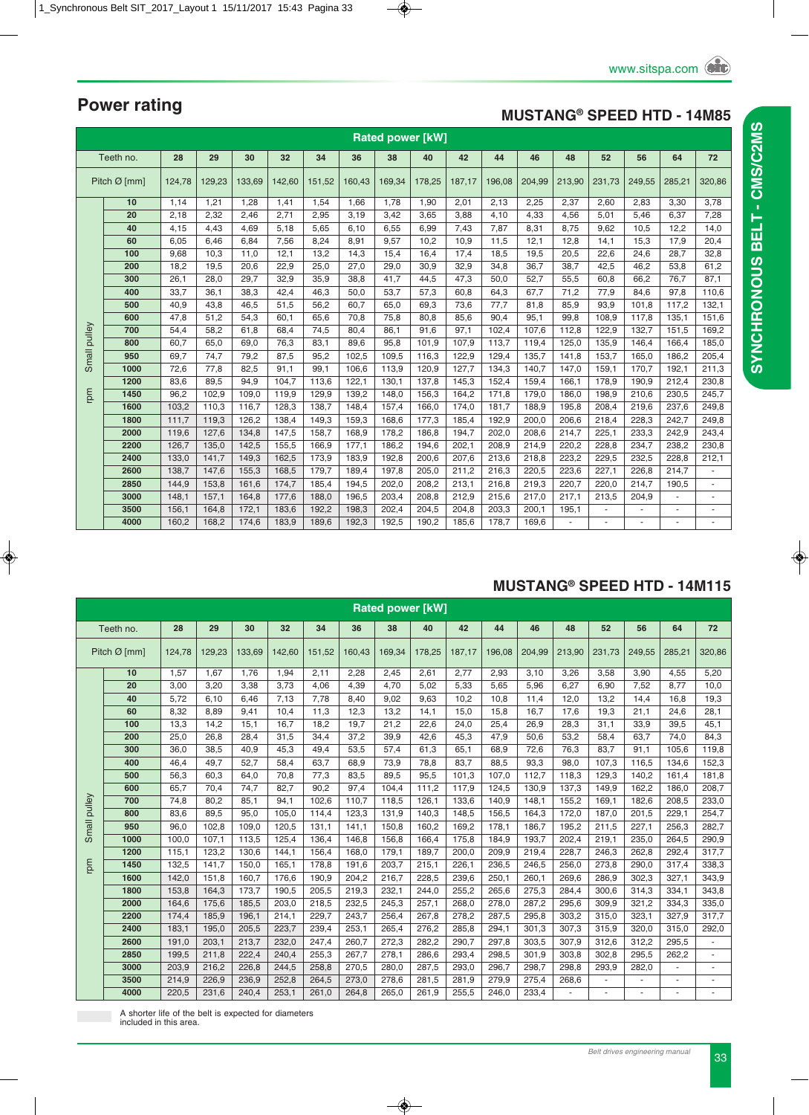#### **MUSTANG® SPEED HTD - 14M85**

|        | <b>Rated power [kW]</b> |        |        |        |        |        |        |        |        |        |        |        |        |        |        |                          |                |
|--------|-------------------------|--------|--------|--------|--------|--------|--------|--------|--------|--------|--------|--------|--------|--------|--------|--------------------------|----------------|
|        | Teeth no.               | 28     | 29     | 30     | 32     | 34     | 36     | 38     | 40     | 42     | 44     | 46     | 48     | 52     | 56     | 64                       | 72             |
|        | Pitch $Ø$ [mm]          | 124,78 | 129,23 | 133,69 | 142,60 | 151,52 | 160.43 | 169,34 | 178,25 | 187,17 | 196,08 | 204,99 | 213,90 | 231,73 | 249,55 | 285,21                   | 320,86         |
|        | 10                      | 1,14   | 1,21   | 1,28   | 1,41   | 1,54   | 1,66   | 1,78   | 1,90   | 2,01   | 2,13   | 2,25   | 2,37   | 2,60   | 2,83   | 3,30                     | 3,78           |
|        | 20                      | 2,18   | 2.32   | 2.46   | 2,71   | 2,95   | 3,19   | 3,42   | 3,65   | 3,88   | 4,10   | 4,33   | 4,56   | 5,01   | 5,46   | 6,37                     | 7,28           |
|        | 40                      | 4,15   | 4,43   | 4,69   | 5,18   | 5,65   | 6,10   | 6,55   | 6,99   | 7,43   | 7,87   | 8,31   | 8,75   | 9,62   | 10,5   | 12,2                     | 14,0           |
|        | 60                      | 6,05   | 6.46   | 6.84   | 7,56   | 8,24   | 8,91   | 9,57   | 10,2   | 10,9   | 11.5   | 12,1   | 12,8   | 14,1   | 15,3   | 17.9                     | 20,4           |
|        | 100                     | 9,68   | 10,3   | 11,0   | 12,1   | 13,2   | 14,3   | 15,4   | 16,4   | 17,4   | 18,5   | 19,5   | 20,5   | 22,6   | 24,6   | 28,7                     | 32,8           |
|        | 200                     | 18,2   | 19,5   | 20.6   | 22,9   | 25,0   | 27,0   | 29,0   | 30,9   | 32,9   | 34,8   | 36,7   | 38,7   | 42,5   | 46.2   | 53,8                     | 61,2           |
|        | 300                     | 26,1   | 28,0   | 29,7   | 32,9   | 35,9   | 38,8   | 41,7   | 44,5   | 47,3   | 50,0   | 52,7   | 55,5   | 60,8   | 66,2   | 76,7                     | 87,1           |
|        | 400                     | 33,7   | 36.1   | 38,3   | 42,4   | 46,3   | 50,0   | 53,7   | 57,3   | 60,8   | 64,3   | 67.7   | 71,2   | 77,9   | 84,6   | 97,8                     | 110,6          |
|        | 500                     | 40,9   | 43,8   | 46,5   | 51,5   | 56,2   | 60,7   | 65,0   | 69,3   | 73,6   | 77,7   | 81,8   | 85,9   | 93,9   | 101,8  | 117,2                    | 132,1          |
|        | 600                     | 47,8   | 51,2   | 54,3   | 60,1   | 65,6   | 70,8   | 75,8   | 80,8   | 85,6   | 90,4   | 95,1   | 99,8   | 108,9  | 117,8  | 135,1                    | 151,6          |
| pulley | 700                     | 54,4   | 58,2   | 61,8   | 68,4   | 74,5   | 80,4   | 86,1   | 91,6   | 97,1   | 102,4  | 107,6  | 112,8  | 122,9  | 132,7  | 151,5                    | 169,2          |
|        | 800                     | 60,7   | 65,0   | 69,0   | 76,3   | 83,1   | 89,6   | 95,8   | 101,9  | 107.9  | 113.7  | 119,4  | 125,0  | 135,9  | 146,4  | 166,4                    | 185,0          |
| Small  | 950                     | 69,7   | 74,7   | 79,2   | 87,5   | 95,2   | 102,5  | 109,5  | 116,3  | 122,9  | 129,4  | 135,7  | 141,8  | 153,7  | 165,0  | 186,2                    | 205,4          |
|        | 1000                    | 72,6   | 77,8   | 82,5   | 91,1   | 99,1   | 106,6  | 113,9  | 120,9  | 127,7  | 134.3  | 140.7  | 147,0  | 159,1  | 170,7  | 192,1                    | 211,3          |
|        | 1200                    | 83,6   | 89,5   | 94,9   | 104,7  | 113,6  | 122,1  | 130,1  | 137,8  | 145,3  | 152,4  | 159,4  | 166,1  | 178,9  | 190,9  | 212,4                    | 230,8          |
| mu     | 1450                    | 96,2   | 102.9  | 109,0  | 119,9  | 129,9  | 139,2  | 148,0  | 156,3  | 164.2  | 171.8  | 179,0  | 186,0  | 198,9  | 210,6  | 230,5                    | 245,7          |
|        | 1600                    | 103,2  | 110,3  | 116,7  | 128,3  | 138,7  | 148,4  | 157,4  | 166,0  | 174,0  | 181,7  | 188,9  | 195,8  | 208,4  | 219,6  | 237,6                    | 249,8          |
|        | 1800                    | 111,7  | 119,3  | 126,2  | 138,4  | 149,3  | 159,3  | 168,6  | 177,3  | 185,4  | 192,9  | 200,0  | 206,6  | 218,4  | 228,3  | 242,7                    | 249,8          |
|        | 2000                    | 119.6  | 127.6  | 134,8  | 147,5  | 158,7  | 168,9  | 178,2  | 186,8  | 194.7  | 202.0  | 208.6  | 214,7  | 225.1  | 233,3  | 242,9                    | 243,4          |
|        | 2200                    | 126,7  | 135,0  | 142,5  | 155,5  | 166,9  | 177,1  | 186,2  | 194,6  | 202,1  | 208,9  | 214,9  | 220,2  | 228,8  | 234,7  | 238,2                    | 230,8          |
|        | 2400                    | 133.0  | 141.7  | 149,3  | 162,5  | 173,9  | 183,9  | 192,8  | 200,6  | 207.6  | 213.6  | 218,8  | 223,2  | 229,5  | 232.5  | 228,8                    | 212,1          |
|        | 2600                    | 138,7  | 147,6  | 155,3  | 168,5  | 179,7  | 189,4  | 197,8  | 205,0  | 211,2  | 216,3  | 220,5  | 223,6  | 227,1  | 226,8  | 214,7                    | $\blacksquare$ |
|        | 2850                    | 144.9  | 153.8  | 161.6  | 174.7  | 185,4  | 194,5  | 202,0  | 208,2  | 213,1  | 216.8  | 219,3  | 220,7  | 220,0  | 214,7  | 190,5                    |                |
|        | 3000                    | 148,1  | 157,1  | 164,8  | 177,6  | 188,0  | 196,5  | 203,4  | 208,8  | 212,9  | 215,6  | 217,0  | 217,1  | 213,5  | 204,9  |                          |                |
|        | 3500                    | 156,1  | 164.8  | 172,1  | 183,6  | 192,2  | 198,3  | 202,4  | 204.5  | 204.8  | 203.3  | 200.1  | 195,1  |        |        | $\overline{\phantom{a}}$ | $\omega$       |
|        | 4000                    | 160,2  | 168,2  | 174,6  | 183,9  | 189,6  | 192,3  | 192,5  | 190,2  | 185,6  | 178,7  | 169,6  |        |        |        |                          |                |

#### **MUSTANG® SPEED HTD - 14M115**

|        | <b>Rated power [kW]</b><br>Teeth no.<br>28<br>29<br>30<br>32<br>34<br>38<br>42<br>44<br>46<br>48<br>36<br>40<br>52<br>56<br>64 |        |        |        |        |        |        |        |        |        |        |        |        |        |        |        |        |
|--------|--------------------------------------------------------------------------------------------------------------------------------|--------|--------|--------|--------|--------|--------|--------|--------|--------|--------|--------|--------|--------|--------|--------|--------|
|        |                                                                                                                                |        |        |        |        |        |        |        |        |        |        |        |        |        |        |        | 72     |
|        | Pitch $\varnothing$ [mm]                                                                                                       | 124.78 | 129.23 | 133.69 | 142.60 | 151.52 | 160.43 | 169,34 | 178.25 | 187.17 | 196.08 | 204,99 | 213,90 | 231,73 | 249.55 | 285,21 | 320,86 |
|        | 10                                                                                                                             | 1,57   | 1.67   | 1.76   | 1,94   | 2,11   | 2,28   | 2,45   | 2,61   | 2,77   | 2,93   | 3,10   | 3,26   | 3,58   | 3,90   | 4,55   | 5,20   |
|        | 20                                                                                                                             | 3,00   | 3,20   | 3,38   | 3,73   | 4,06   | 4,39   | 4,70   | 5,02   | 5,33   | 5,65   | 5,96   | 6,27   | 6,90   | 7,52   | 8,77   | 10,0   |
|        | 40                                                                                                                             | 5,72   | 6, 10  | 6,46   | 7,13   | 7,78   | 8,40   | 9,02   | 9,63   | 10,2   | 10,8   | 11,4   | 12,0   | 13,2   | 14,4   | 16,8   | 19,3   |
|        | 60                                                                                                                             | 8,32   | 8.89   | 9,41   | 10,4   | 11.3   | 12,3   | 13,2   | 14,1   | 15,0   | 15,8   | 16,7   | 17,6   | 19,3   | 21.1   | 24.6   | 28,1   |
|        | 100                                                                                                                            | 13,3   | 14,2   | 15,1   | 16,7   | 18,2   | 19,7   | 21,2   | 22,6   | 24,0   | 25,4   | 26,9   | 28,3   | 31,1   | 33,9   | 39,5   | 45,1   |
|        | 200                                                                                                                            | 25,0   | 26.8   | 28,4   | 31,5   | 34,4   | 37,2   | 39,9   | 42,6   | 45,3   | 47,9   | 50,6   | 53,2   | 58,4   | 63.7   | 74.0   | 84,3   |
|        | 300                                                                                                                            | 36,0   | 38.5   | 40.9   | 45,3   | 49,4   | 53,5   | 57,4   | 61,3   | 65,1   | 68,9   | 72,6   | 76,3   | 83,7   | 91.1   | 105.6  | 119,8  |
|        | 400                                                                                                                            | 46.4   | 49.7   | 52.7   | 58.4   | 63.7   | 68,9   | 73,9   | 78,8   | 83.7   | 88.5   | 93,3   | 98.0   | 107,3  | 116.5  | 134.6  | 152,3  |
|        | 500                                                                                                                            | 56,3   | 60.3   | 64,0   | 70,8   | 77,3   | 83,5   | 89,5   | 95,5   | 101,3  | 107,0  | 112,7  | 118,3  | 129.3  | 140.2  | 161.4  | 181,8  |
|        | 600                                                                                                                            | 65,7   | 70,4   | 74,7   | 82,7   | 90,2   | 97,4   | 104,4  | 111,2  | 117,9  | 124,5  | 130,9  | 137,3  | 149,9  | 162,2  | 186,0  | 208,7  |
| pulley | 700                                                                                                                            | 74,8   | 80,2   | 85,1   | 94,1   | 102,6  | 110,7  | 118,5  | 126,1  | 133,6  | 140,9  | 148,1  | 155,2  | 169,1  | 182,6  | 208,5  | 233,0  |
|        | 800                                                                                                                            | 83,6   | 89.5   | 95,0   | 105,0  | 114,4  | 123,3  | 131,9  | 140,3  | 148,5  | 156,5  | 164,3  | 172,0  | 187,0  | 201,5  | 229,1  | 254,7  |
| Small  | 950                                                                                                                            | 96,0   | 102,8  | 109,0  | 120,5  | 131,1  | 141,1  | 150,8  | 160,2  | 169,2  | 178,1  | 186,7  | 195,2  | 211,5  | 227,1  | 256,3  | 282,7  |
|        | 1000                                                                                                                           | 100.0  | 107,1  | 113,5  | 125,4  | 136,4  | 146,8  | 156,8  | 166,4  | 175,8  | 184,9  | 193,7  | 202,4  | 219,1  | 235,0  | 264.5  | 290,9  |
|        | 1200                                                                                                                           | 115,1  | 123.2  | 130.6  | 144,1  | 156,4  | 168,0  | 179,1  | 189,7  | 200,0  | 209,9  | 219,4  | 228,7  | 246.3  | 262.8  | 292,4  | 317,7  |
| md     | 1450                                                                                                                           | 132,5  | 141.7  | 150.0  | 165,1  | 178,8  | 191.6  | 203.7  | 215,1  | 226,1  | 236,5  | 246,5  | 256,0  | 273,8  | 290.0  | 317,4  | 338,3  |
|        | 1600                                                                                                                           | 142,0  | 151.8  | 160.7  | 176,6  | 190,9  | 204,2  | 216,7  | 228,5  | 239,6  | 250,1  | 260,1  | 269,6  | 286.9  | 302,3  | 327,1  | 343,9  |
|        | 1800                                                                                                                           | 153,8  | 164,3  | 173,7  | 190,5  | 205,5  | 219,3  | 232,1  | 244,0  | 255,2  | 265,6  | 275,3  | 284,4  | 300,6  | 314,3  | 334,1  | 343,8  |
|        | 2000                                                                                                                           | 164.6  | 175.6  | 185.5  | 203.0  | 218,5  | 232,5  | 245.3  | 257,1  | 268.0  | 278,0  | 287.2  | 295.6  | 309.9  | 321.2  | 334,3  | 335,0  |
|        | 2200                                                                                                                           | 174,4  | 185,9  | 196,1  | 214,1  | 229,7  | 243,7  | 256,4  | 267,8  | 278,2  | 287,5  | 295,8  | 303,2  | 315,0  | 323,1  | 327.9  | 317,7  |
|        | 2400                                                                                                                           | 183,1  | 195,0  | 205,5  | 223,7  | 239,4  | 253,1  | 265,4  | 276,2  | 285,8  | 294,1  | 301,3  | 307,3  | 315,9  | 320,0  | 315,0  | 292,0  |
|        | 2600                                                                                                                           | 191,0  | 203,1  | 213,7  | 232,0  | 247,4  | 260,7  | 272,3  | 282,2  | 290,7  | 297,8  | 303,5  | 307,9  | 312,6  | 312,2  | 295,5  |        |
|        | 2850                                                                                                                           | 199,5  | 211,8  | 222,4  | 240,4  | 255,3  | 267,7  | 278,1  | 286,6  | 293,4  | 298,5  | 301,9  | 303,8  | 302,8  | 295,5  | 262,2  |        |
|        | 3000                                                                                                                           | 203,9  | 216,2  | 226,8  | 244,5  | 258,8  | 270,5  | 280,0  | 287,5  | 293,0  | 296,7  | 298,7  | 298.8  | 293,9  | 282,0  |        |        |
|        | 3500                                                                                                                           | 214,9  | 226,9  | 236,9  | 252,8  | 264,5  | 273,0  | 278,6  | 281,5  | 281,9  | 279,9  | 275,4  | 268,6  |        |        |        |        |
|        | 4000                                                                                                                           | 220,5  | 231,6  | 240,4  | 253,1  | 261,0  | 264,8  | 265,0  | 261,9  | 255,5  | 246,0  | 233,4  |        |        |        |        |        |

A shorter life of the belt is expected for diameters included in this area.

**Power rating**